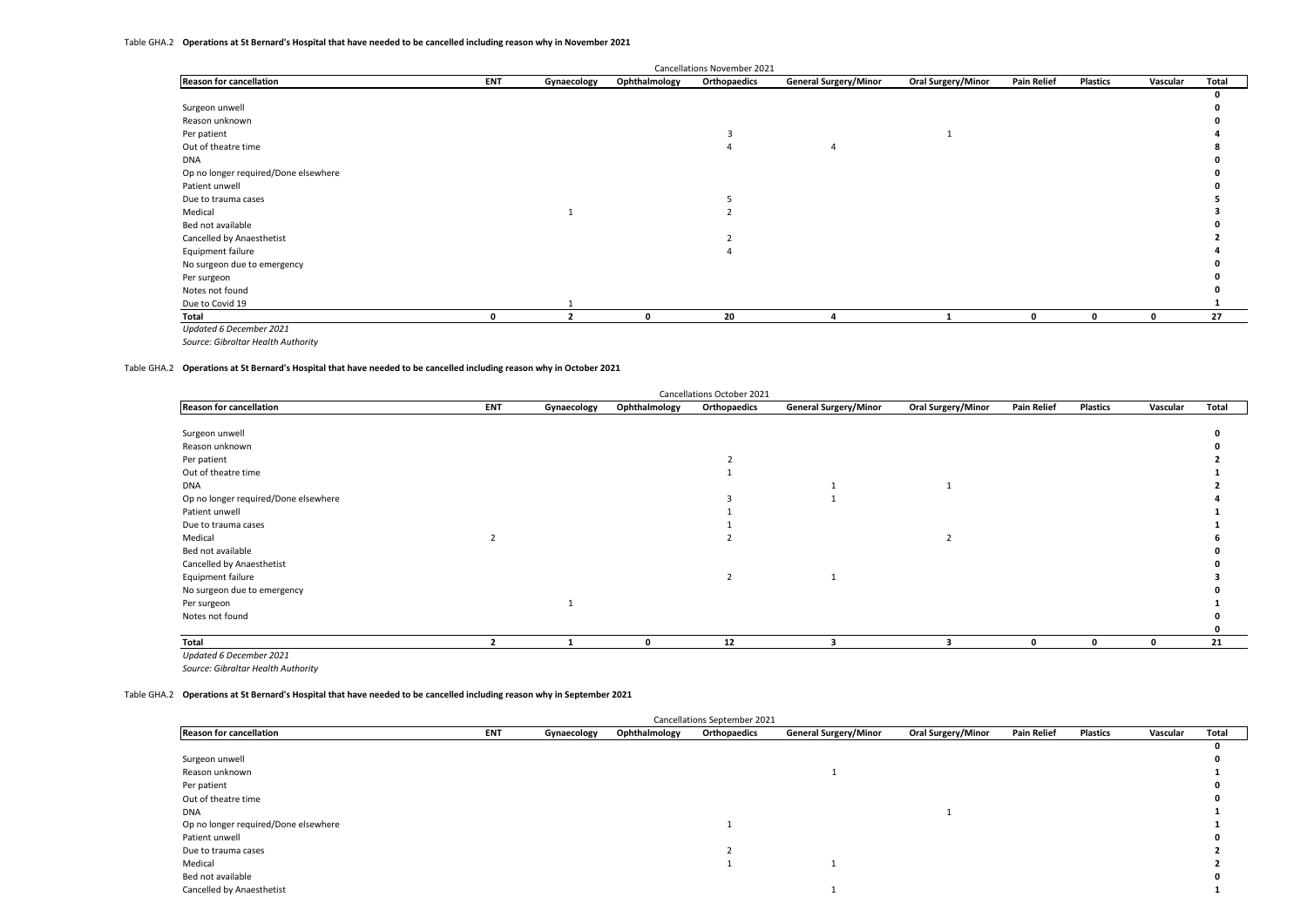|                                      |              |             |               | Cancellations November 2021 |                              |                           |                    |                 |          |       |
|--------------------------------------|--------------|-------------|---------------|-----------------------------|------------------------------|---------------------------|--------------------|-----------------|----------|-------|
| <b>Reason for cancellation</b>       | <b>ENT</b>   | Gynaecology | Ophthalmology | Orthopaedics                | <b>General Surgery/Minor</b> | <b>Oral Surgery/Minor</b> | <b>Pain Relief</b> | <b>Plastics</b> | Vascular | Total |
|                                      |              |             |               |                             |                              |                           |                    |                 |          |       |
| Surgeon unwell                       |              |             |               |                             |                              |                           |                    |                 |          |       |
| Reason unknown                       |              |             |               |                             |                              |                           |                    |                 |          |       |
| Per patient                          |              |             |               |                             |                              |                           |                    |                 |          |       |
| Out of theatre time                  |              |             |               |                             |                              |                           |                    |                 |          |       |
| <b>DNA</b>                           |              |             |               |                             |                              |                           |                    |                 |          |       |
| Op no longer required/Done elsewhere |              |             |               |                             |                              |                           |                    |                 |          |       |
| Patient unwell                       |              |             |               |                             |                              |                           |                    |                 |          |       |
| Due to trauma cases                  |              |             |               |                             |                              |                           |                    |                 |          |       |
| Medical                              |              |             |               |                             |                              |                           |                    |                 |          |       |
| Bed not available                    |              |             |               |                             |                              |                           |                    |                 |          |       |
| Cancelled by Anaesthetist            |              |             |               |                             |                              |                           |                    |                 |          |       |
| Equipment failure                    |              |             |               |                             |                              |                           |                    |                 |          |       |
| No surgeon due to emergency          |              |             |               |                             |                              |                           |                    |                 |          |       |
| Per surgeon                          |              |             |               |                             |                              |                           |                    |                 |          |       |
| Notes not found                      |              |             |               |                             |                              |                           |                    |                 |          |       |
| Due to Covid 19                      |              |             |               |                             |                              |                           |                    |                 |          |       |
| Total                                | <sup>0</sup> |             | $\Omega$      | 20                          |                              |                           | <sup>0</sup>       | $\mathbf{0}$    | 0        | 27    |
| Updated 6 December 2021              |              |             |               |                             |                              |                           |                    |                 |          |       |

Table GHA.2 **Operations at St Bernard's Hospital that have needed to be cancelled including reason why in October 2021**

| Cancellations October 2021           |            |             |               |                          |                              |                    |                    |          |          |       |  |  |
|--------------------------------------|------------|-------------|---------------|--------------------------|------------------------------|--------------------|--------------------|----------|----------|-------|--|--|
| <b>Reason for cancellation</b>       | <b>ENT</b> | Gynaecology | Ophthalmology | Orthopaedics             | <b>General Surgery/Minor</b> | Oral Surgery/Minor | <b>Pain Relief</b> | Plastics | Vascular | Total |  |  |
|                                      |            |             |               |                          |                              |                    |                    |          |          |       |  |  |
| Surgeon unwell                       |            |             |               |                          |                              |                    |                    |          |          |       |  |  |
| Reason unknown                       |            |             |               |                          |                              |                    |                    |          |          |       |  |  |
| Per patient                          |            |             |               |                          |                              |                    |                    |          |          |       |  |  |
| Out of theatre time                  |            |             |               |                          |                              |                    |                    |          |          |       |  |  |
| <b>DNA</b>                           |            |             |               |                          |                              |                    |                    |          |          |       |  |  |
| Op no longer required/Done elsewhere |            |             |               |                          |                              |                    |                    |          |          |       |  |  |
| Patient unwell                       |            |             |               |                          |                              |                    |                    |          |          |       |  |  |
| Due to trauma cases                  |            |             |               |                          |                              |                    |                    |          |          |       |  |  |
| Medical                              |            |             |               |                          |                              |                    |                    |          |          |       |  |  |
| Bed not available                    |            |             |               |                          |                              |                    |                    |          |          |       |  |  |
| Cancelled by Anaesthetist            |            |             |               |                          |                              |                    |                    |          |          |       |  |  |
| Equipment failure                    |            |             |               | $\overline{\phantom{a}}$ |                              |                    |                    |          |          |       |  |  |
| No surgeon due to emergency          |            |             |               |                          |                              |                    |                    |          |          |       |  |  |
| Per surgeon                          |            |             |               |                          |                              |                    |                    |          |          |       |  |  |
| Notes not found                      |            |             |               |                          |                              |                    |                    |          |          |       |  |  |
|                                      |            |             |               |                          |                              |                    |                    |          |          |       |  |  |
| Total                                |            |             | n             | 12                       |                              |                    | n                  | n        | 0        | 21    |  |  |

*Updated 6 December 2021*

*Source: Gibraltar Health Authority*

#### Table GHA.2 **Operations at St Bernard's Hospital that have needed to be cancelled including reason why in September 2021**

| Cancellations September 2021         |            |             |               |              |                              |                           |                    |          |          |       |  |  |
|--------------------------------------|------------|-------------|---------------|--------------|------------------------------|---------------------------|--------------------|----------|----------|-------|--|--|
| <b>Reason for cancellation</b>       | <b>ENT</b> | Gynaecology | Ophthalmology | Orthopaedics | <b>General Surgery/Minor</b> | <b>Oral Surgery/Minor</b> | <b>Pain Relief</b> | Plastics | Vascular | Total |  |  |
|                                      |            |             |               |              |                              |                           |                    |          |          |       |  |  |
| Surgeon unwell                       |            |             |               |              |                              |                           |                    |          |          |       |  |  |
| Reason unknown                       |            |             |               |              |                              |                           |                    |          |          |       |  |  |
| Per patient                          |            |             |               |              |                              |                           |                    |          |          |       |  |  |
| Out of theatre time                  |            |             |               |              |                              |                           |                    |          |          |       |  |  |
| <b>DNA</b>                           |            |             |               |              |                              |                           |                    |          |          |       |  |  |
| Op no longer required/Done elsewhere |            |             |               |              |                              |                           |                    |          |          |       |  |  |
| Patient unwell                       |            |             |               |              |                              |                           |                    |          |          |       |  |  |
| Due to trauma cases                  |            |             |               |              |                              |                           |                    |          |          |       |  |  |
| Medical                              |            |             |               |              |                              |                           |                    |          |          |       |  |  |
| Bed not available                    |            |             |               |              |                              |                           |                    |          |          |       |  |  |
| Cancelled by Anaesthetist            |            |             |               |              |                              |                           |                    |          |          |       |  |  |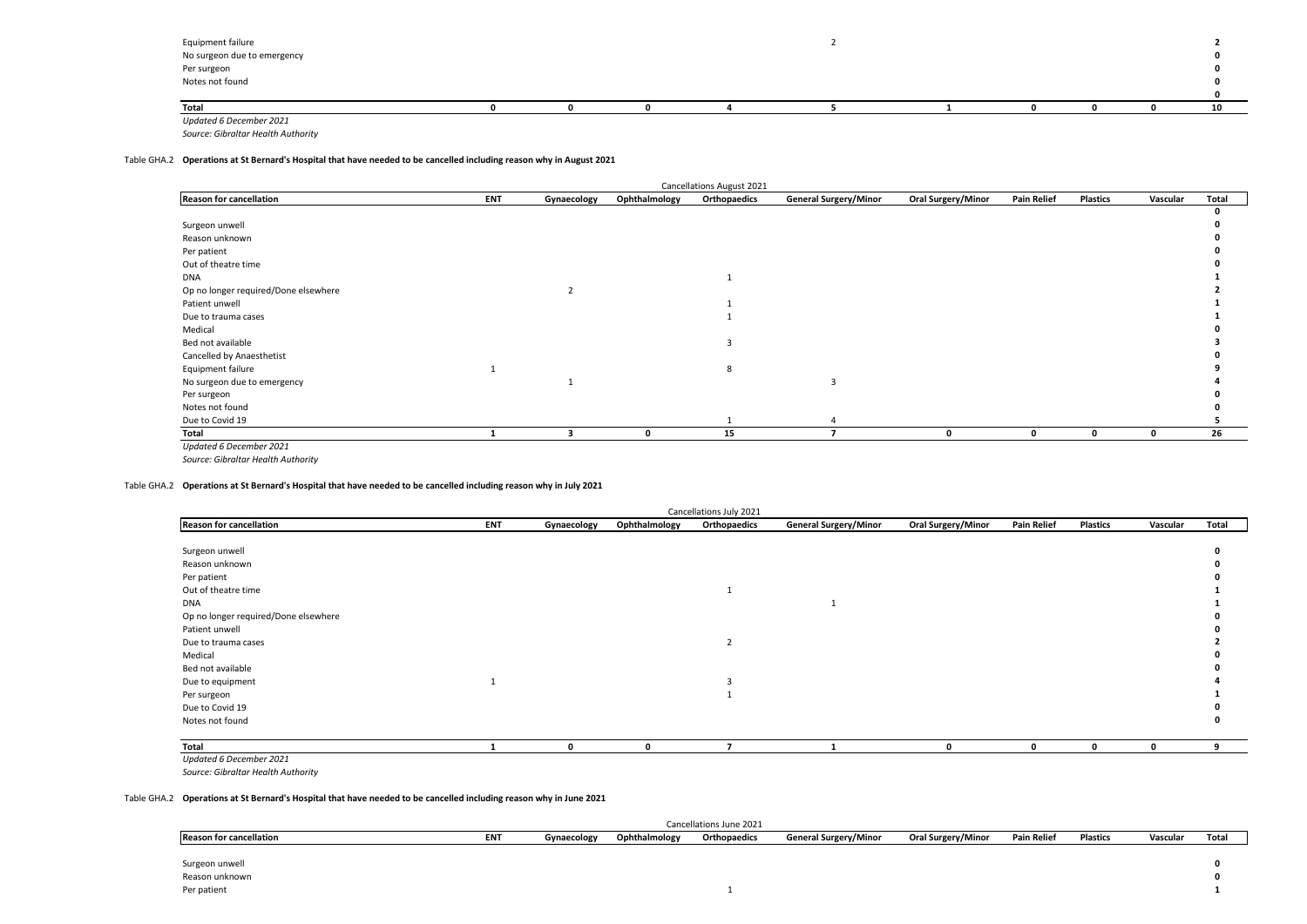| Equipment failure<br>No surgeon due to emergency |  |  |  |  |    |
|--------------------------------------------------|--|--|--|--|----|
| Per surgeon<br>Notes not found                   |  |  |  |  |    |
|                                                  |  |  |  |  |    |
|                                                  |  |  |  |  |    |
| Total                                            |  |  |  |  | 10 |
| Updated 6 December 2021                          |  |  |  |  |    |

## Table GHA.2 **Operations at St Bernard's Hospital that have needed to be cancelled including reason why in August 2021**

| <b>Cancellations August 2021</b>     |            |             |               |              |                              |                           |                    |                 |             |       |  |  |  |
|--------------------------------------|------------|-------------|---------------|--------------|------------------------------|---------------------------|--------------------|-----------------|-------------|-------|--|--|--|
| <b>Reason for cancellation</b>       | <b>ENT</b> | Gynaecology | Ophthalmology | Orthopaedics | <b>General Surgery/Minor</b> | <b>Oral Surgery/Minor</b> | <b>Pain Relief</b> | <b>Plastics</b> | Vascular    | Total |  |  |  |
|                                      |            |             |               |              |                              |                           |                    |                 |             |       |  |  |  |
| Surgeon unwell                       |            |             |               |              |                              |                           |                    |                 |             |       |  |  |  |
| Reason unknown                       |            |             |               |              |                              |                           |                    |                 |             |       |  |  |  |
| Per patient                          |            |             |               |              |                              |                           |                    |                 |             |       |  |  |  |
| Out of theatre time                  |            |             |               |              |                              |                           |                    |                 |             |       |  |  |  |
| <b>DNA</b>                           |            |             |               |              |                              |                           |                    |                 |             |       |  |  |  |
| Op no longer required/Done elsewhere |            |             |               |              |                              |                           |                    |                 |             |       |  |  |  |
| Patient unwell                       |            |             |               |              |                              |                           |                    |                 |             |       |  |  |  |
| Due to trauma cases                  |            |             |               |              |                              |                           |                    |                 |             |       |  |  |  |
| Medical                              |            |             |               |              |                              |                           |                    |                 |             |       |  |  |  |
| Bed not available                    |            |             |               |              |                              |                           |                    |                 |             |       |  |  |  |
| Cancelled by Anaesthetist            |            |             |               |              |                              |                           |                    |                 |             |       |  |  |  |
| Equipment failure                    |            |             |               | 8            |                              |                           |                    |                 |             |       |  |  |  |
| No surgeon due to emergency          |            |             |               |              | 3                            |                           |                    |                 |             |       |  |  |  |
| Per surgeon                          |            |             |               |              |                              |                           |                    |                 |             |       |  |  |  |
| Notes not found                      |            |             |               |              |                              |                           |                    |                 |             |       |  |  |  |
| Due to Covid 19                      |            |             |               |              |                              |                           |                    |                 |             |       |  |  |  |
| Total                                |            |             | 0             | 15           |                              | 0                         | 0                  |                 | $\mathbf 0$ | 26    |  |  |  |
| Updated 6 December 2021              |            |             |               |              |                              |                           |                    |                 |             |       |  |  |  |

*Source: Gibraltar Health Authority*

## Table GHA.2 **Operations at St Bernard's Hospital that have needed to be cancelled including reason why in July 2021**

| Cancellations July 2021              |     |             |               |                |                              |                    |                    |                 |          |       |  |  |
|--------------------------------------|-----|-------------|---------------|----------------|------------------------------|--------------------|--------------------|-----------------|----------|-------|--|--|
| <b>Reason for cancellation</b>       | ENT | Gynaecology | Ophthalmology | Orthopaedics   | <b>General Surgery/Minor</b> | Oral Surgery/Minor | <b>Pain Relief</b> | <b>Plastics</b> | Vascular | Total |  |  |
|                                      |     |             |               |                |                              |                    |                    |                 |          |       |  |  |
| Surgeon unwell                       |     |             |               |                |                              |                    |                    |                 |          |       |  |  |
| Reason unknown                       |     |             |               |                |                              |                    |                    |                 |          |       |  |  |
| Per patient                          |     |             |               |                |                              |                    |                    |                 |          |       |  |  |
| Out of theatre time                  |     |             |               |                |                              |                    |                    |                 |          |       |  |  |
| <b>DNA</b>                           |     |             |               |                |                              |                    |                    |                 |          |       |  |  |
| Op no longer required/Done elsewhere |     |             |               |                |                              |                    |                    |                 |          |       |  |  |
| Patient unwell                       |     |             |               |                |                              |                    |                    |                 |          |       |  |  |
| Due to trauma cases                  |     |             |               | $\overline{2}$ |                              |                    |                    |                 |          |       |  |  |
| Medical                              |     |             |               |                |                              |                    |                    |                 |          |       |  |  |
| Bed not available                    |     |             |               |                |                              |                    |                    |                 |          |       |  |  |
| Due to equipment                     |     |             |               |                |                              |                    |                    |                 |          |       |  |  |
| Per surgeon                          |     |             |               |                |                              |                    |                    |                 |          |       |  |  |
| Due to Covid 19                      |     |             |               |                |                              |                    |                    |                 |          |       |  |  |
| Notes not found                      |     |             |               |                |                              |                    |                    |                 |          |       |  |  |
|                                      |     |             |               |                |                              |                    |                    |                 |          |       |  |  |
| Total                                |     | n           | 0             |                |                              |                    | O                  | $\mathbf 0$     | 0        | 9     |  |  |
| <b>Undated 6 December 2021</b>       |     |             |               |                |                              |                    |                    |                 |          |       |  |  |

*Updated 6 December 2021*

*Source: Gibraltar Health Authority*

#### Table GHA.2 **Operations at St Bernard's Hospital that have needed to be cancelled including reason why in June 2021**

|                                |            |             |               | Cancellations June 2021 |                              |                    |                    |          |          |       |
|--------------------------------|------------|-------------|---------------|-------------------------|------------------------------|--------------------|--------------------|----------|----------|-------|
| <b>Reason for cancellation</b> | <b>ENT</b> | Gynaecology | Ophthalmology | Orthopaedics            | <b>General Surgery/Minor</b> | Oral Surgery/Minor | <b>Pain Relief</b> | Plastics | Vascular | Total |
|                                |            |             |               |                         |                              |                    |                    |          |          |       |
| Surgeon unwell                 |            |             |               |                         |                              |                    |                    |          |          |       |
| Reason unknown                 |            |             |               |                         |                              |                    |                    |          |          |       |
| Per patient                    |            |             |               |                         |                              |                    |                    |          |          |       |
|                                |            |             |               |                         |                              |                    |                    |          |          |       |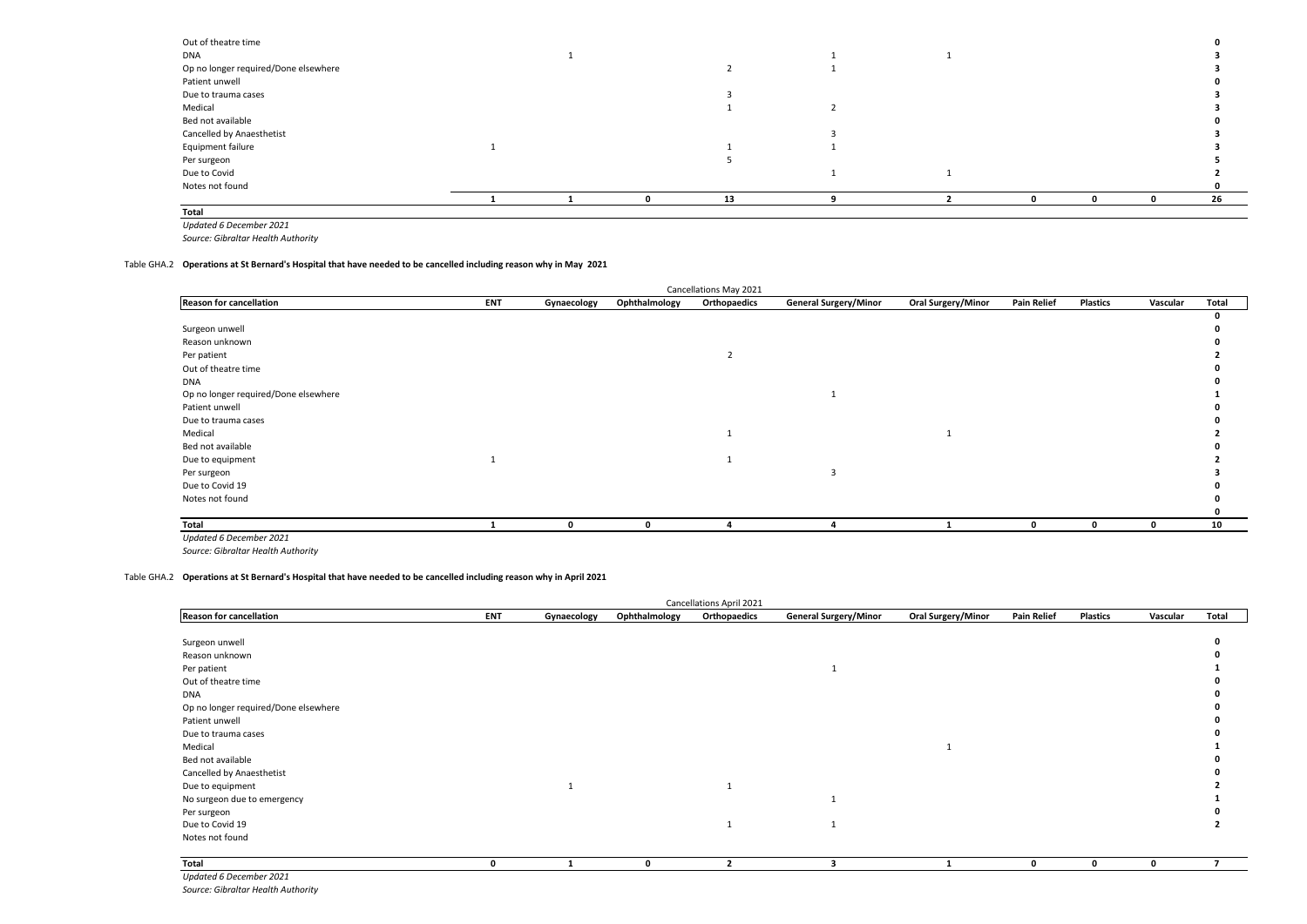| Out of theatre time                  |  |    |  |  |    |
|--------------------------------------|--|----|--|--|----|
| DNA                                  |  |    |  |  |    |
| Op no longer required/Done elsewhere |  |    |  |  |    |
| Patient unwell                       |  |    |  |  |    |
| Due to trauma cases                  |  |    |  |  |    |
| Medical                              |  |    |  |  |    |
| Bed not available                    |  |    |  |  |    |
| Cancelled by Anaesthetist            |  |    |  |  |    |
| Equipment failure                    |  |    |  |  |    |
| Per surgeon                          |  |    |  |  |    |
| Due to Covid                         |  |    |  |  |    |
| Notes not found                      |  |    |  |  |    |
|                                      |  | 13 |  |  | 26 |
| Total                                |  |    |  |  |    |

*Updated 6 December 2021*

*Source: Gibraltar Health Authority*

#### Table GHA.2 **Operations at St Bernard's Hospital that have needed to be cancelled including reason why in May 2021**

|                                      |            |             |               | Cancellations May 2021 |                              |                    |                    |                 |          |       |
|--------------------------------------|------------|-------------|---------------|------------------------|------------------------------|--------------------|--------------------|-----------------|----------|-------|
| <b>Reason for cancellation</b>       | <b>ENT</b> | Gynaecology | Ophthalmology | Orthopaedics           | <b>General Surgery/Minor</b> | Oral Surgery/Minor | <b>Pain Relief</b> | <b>Plastics</b> | Vascular | Total |
|                                      |            |             |               |                        |                              |                    |                    |                 |          | 0     |
| Surgeon unwell                       |            |             |               |                        |                              |                    |                    |                 |          |       |
| Reason unknown                       |            |             |               |                        |                              |                    |                    |                 |          |       |
| Per patient                          |            |             |               |                        |                              |                    |                    |                 |          |       |
| Out of theatre time                  |            |             |               |                        |                              |                    |                    |                 |          |       |
| <b>DNA</b>                           |            |             |               |                        |                              |                    |                    |                 |          |       |
| Op no longer required/Done elsewhere |            |             |               |                        |                              |                    |                    |                 |          |       |
| Patient unwell                       |            |             |               |                        |                              |                    |                    |                 |          |       |
| Due to trauma cases                  |            |             |               |                        |                              |                    |                    |                 |          |       |
| Medical                              |            |             |               |                        |                              |                    |                    |                 |          |       |
| Bed not available                    |            |             |               |                        |                              |                    |                    |                 |          |       |
| Due to equipment                     |            |             |               |                        |                              |                    |                    |                 |          |       |
| Per surgeon                          |            |             |               |                        |                              |                    |                    |                 |          |       |
| Due to Covid 19                      |            |             |               |                        |                              |                    |                    |                 |          |       |
| Notes not found                      |            |             |               |                        |                              |                    |                    |                 |          |       |
|                                      |            |             |               |                        |                              |                    |                    |                 |          |       |
| Total                                |            |             |               |                        |                              |                    | $\mathbf{0}$       | 0               | $\Omega$ | 10    |
| Updated 6 December 2021              |            |             |               |                        |                              |                    |                    |                 |          |       |

*Source: Gibraltar Health Authority*

#### Table GHA.2 **Operations at St Bernard's Hospital that have needed to be cancelled including reason why in April 2021**

|                                      |            |             |               | Cancellations April 2021 |                              |                           |                    |                 |             |       |
|--------------------------------------|------------|-------------|---------------|--------------------------|------------------------------|---------------------------|--------------------|-----------------|-------------|-------|
| <b>Reason for cancellation</b>       | <b>ENT</b> | Gynaecology | Ophthalmology | Orthopaedics             | <b>General Surgery/Minor</b> | <b>Oral Surgery/Minor</b> | <b>Pain Relief</b> | <b>Plastics</b> | Vascular    | Total |
|                                      |            |             |               |                          |                              |                           |                    |                 |             |       |
| Surgeon unwell                       |            |             |               |                          |                              |                           |                    |                 |             |       |
| Reason unknown                       |            |             |               |                          |                              |                           |                    |                 |             |       |
| Per patient                          |            |             |               |                          |                              |                           |                    |                 |             |       |
| Out of theatre time                  |            |             |               |                          |                              |                           |                    |                 |             |       |
| <b>DNA</b>                           |            |             |               |                          |                              |                           |                    |                 |             |       |
| Op no longer required/Done elsewhere |            |             |               |                          |                              |                           |                    |                 |             |       |
| Patient unwell                       |            |             |               |                          |                              |                           |                    |                 |             |       |
| Due to trauma cases                  |            |             |               |                          |                              |                           |                    |                 |             |       |
| Medical                              |            |             |               |                          |                              |                           |                    |                 |             |       |
| Bed not available                    |            |             |               |                          |                              |                           |                    |                 |             |       |
| Cancelled by Anaesthetist            |            |             |               |                          |                              |                           |                    |                 |             |       |
| Due to equipment                     |            |             |               |                          |                              |                           |                    |                 |             |       |
| No surgeon due to emergency          |            |             |               |                          |                              |                           |                    |                 |             |       |
| Per surgeon                          |            |             |               |                          |                              |                           |                    |                 |             |       |
| Due to Covid 19                      |            |             |               | 1                        |                              |                           |                    |                 |             |       |
| Notes not found                      |            |             |               |                          |                              |                           |                    |                 |             |       |
| Total                                | O          |             | $\mathbf 0$   | $\overline{2}$           | 3                            |                           | $\mathbf{0}$       | $\mathbf 0$     | $\mathbf 0$ | 7     |
| Updated 6 December 2021              |            |             |               |                          |                              |                           |                    |                 |             |       |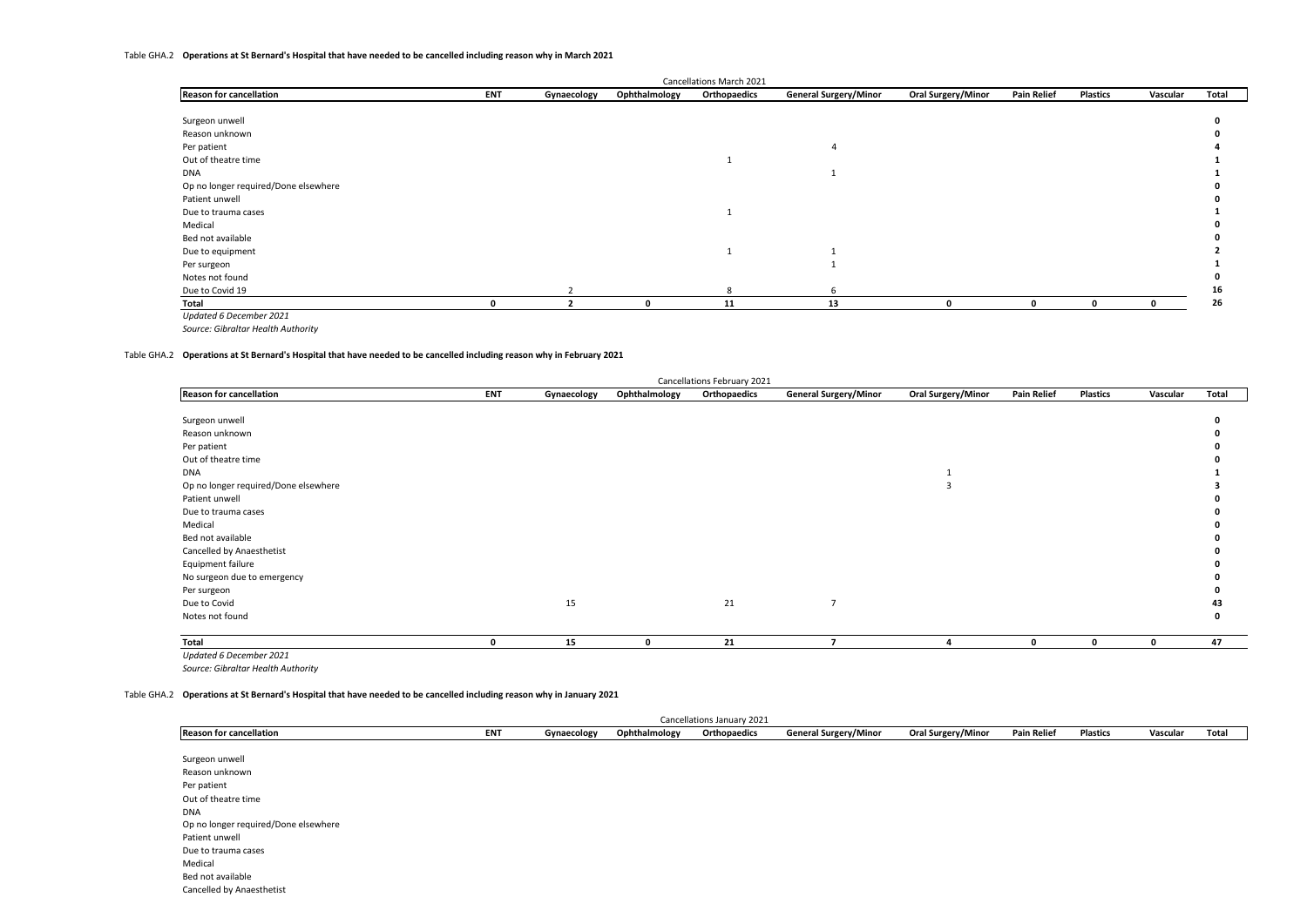#### Table GHA.2 **Operations at St Bernard's Hospital that have needed to be cancelled including reason why in March 2021**

|                                      |            |             |               | Cancellations March 2021 |                              |                    |                    |                 |          |       |
|--------------------------------------|------------|-------------|---------------|--------------------------|------------------------------|--------------------|--------------------|-----------------|----------|-------|
| <b>Reason for cancellation</b>       | <b>ENT</b> | Gynaecology | Ophthalmology | Orthopaedics             | <b>General Surgery/Minor</b> | Oral Surgery/Minor | <b>Pain Relief</b> | <b>Plastics</b> | Vascular | Total |
|                                      |            |             |               |                          |                              |                    |                    |                 |          |       |
| Surgeon unwell                       |            |             |               |                          |                              |                    |                    |                 |          |       |
| Reason unknown                       |            |             |               |                          |                              |                    |                    |                 |          |       |
| Per patient                          |            |             |               |                          |                              |                    |                    |                 |          |       |
| Out of theatre time                  |            |             |               |                          |                              |                    |                    |                 |          |       |
| <b>DNA</b>                           |            |             |               |                          |                              |                    |                    |                 |          |       |
| Op no longer required/Done elsewhere |            |             |               |                          |                              |                    |                    |                 |          |       |
| Patient unwell                       |            |             |               |                          |                              |                    |                    |                 |          |       |
| Due to trauma cases                  |            |             |               |                          |                              |                    |                    |                 |          |       |
| Medical                              |            |             |               |                          |                              |                    |                    |                 |          |       |
| Bed not available                    |            |             |               |                          |                              |                    |                    |                 |          |       |
| Due to equipment                     |            |             |               |                          |                              |                    |                    |                 |          |       |
| Per surgeon                          |            |             |               |                          |                              |                    |                    |                 |          |       |
| Notes not found                      |            |             |               |                          |                              |                    |                    |                 |          |       |
| Due to Covid 19                      |            |             |               | 8                        |                              |                    |                    |                 |          | 16    |
| Total                                |            |             | O             | 11                       | 13                           | ŋ                  | $\mathbf{r}$       | $\mathbf{0}$    | 0        | 26    |
| Updated 6 December 2021              |            |             |               |                          |                              |                    |                    |                 |          |       |

*Source: Gibraltar Health Authority*

#### Table GHA.2 **Operations at St Bernard's Hospital that have needed to be cancelled including reason why in February 2021**

| Cancellations February 2021          |            |             |               |              |                              |                           |                    |                 |              |       |  |  |
|--------------------------------------|------------|-------------|---------------|--------------|------------------------------|---------------------------|--------------------|-----------------|--------------|-------|--|--|
| <b>Reason for cancellation</b>       | <b>ENT</b> | Gynaecology | Ophthalmology | Orthopaedics | <b>General Surgery/Minor</b> | <b>Oral Surgery/Minor</b> | <b>Pain Relief</b> | <b>Plastics</b> | Vascular     | Total |  |  |
|                                      |            |             |               |              |                              |                           |                    |                 |              |       |  |  |
| Surgeon unwell                       |            |             |               |              |                              |                           |                    |                 |              |       |  |  |
| Reason unknown                       |            |             |               |              |                              |                           |                    |                 |              |       |  |  |
| Per patient                          |            |             |               |              |                              |                           |                    |                 |              |       |  |  |
| Out of theatre time                  |            |             |               |              |                              |                           |                    |                 |              |       |  |  |
| <b>DNA</b>                           |            |             |               |              |                              |                           |                    |                 |              |       |  |  |
| Op no longer required/Done elsewhere |            |             |               |              |                              | 3                         |                    |                 |              |       |  |  |
| Patient unwell                       |            |             |               |              |                              |                           |                    |                 |              |       |  |  |
| Due to trauma cases                  |            |             |               |              |                              |                           |                    |                 |              |       |  |  |
| Medical                              |            |             |               |              |                              |                           |                    |                 |              |       |  |  |
| Bed not available                    |            |             |               |              |                              |                           |                    |                 |              |       |  |  |
| Cancelled by Anaesthetist            |            |             |               |              |                              |                           |                    |                 |              |       |  |  |
| Equipment failure                    |            |             |               |              |                              |                           |                    |                 |              |       |  |  |
| No surgeon due to emergency          |            |             |               |              |                              |                           |                    |                 |              |       |  |  |
| Per surgeon                          |            |             |               |              |                              |                           |                    |                 |              |       |  |  |
| Due to Covid                         |            | 15          |               | 21           | $\overline{7}$               |                           |                    |                 |              | 43    |  |  |
| Notes not found                      |            |             |               |              |                              |                           |                    |                 |              | 0     |  |  |
| Total                                | 0          | 15          | 0             | 21           | $\overline{\phantom{a}}$     | $\overline{a}$            | 0                  | $\mathbf 0$     | $\mathbf{0}$ | 47    |  |  |
| Updated 6 December 2021              |            |             |               |              |                              |                           |                    |                 |              |       |  |  |

*Source: Gibraltar Health Authority*

#### Table GHA.2 **Operations at St Bernard's Hospital that have needed to be cancelled including reason why in January 2021**

|                                      |            |             |               | Cancellations January 2021 |                              |                           |                    |                 |          |       |
|--------------------------------------|------------|-------------|---------------|----------------------------|------------------------------|---------------------------|--------------------|-----------------|----------|-------|
| <b>Reason for cancellation</b>       | <b>ENT</b> | Gynaecology | Ophthalmology | Orthopaedics               | <b>General Surgery/Minor</b> | <b>Oral Surgery/Minor</b> | <b>Pain Relief</b> | <b>Plastics</b> | Vascular | Total |
|                                      |            |             |               |                            |                              |                           |                    |                 |          |       |
| Surgeon unwell                       |            |             |               |                            |                              |                           |                    |                 |          |       |
| Reason unknown                       |            |             |               |                            |                              |                           |                    |                 |          |       |
| Per patient                          |            |             |               |                            |                              |                           |                    |                 |          |       |
| Out of theatre time                  |            |             |               |                            |                              |                           |                    |                 |          |       |
| <b>DNA</b>                           |            |             |               |                            |                              |                           |                    |                 |          |       |
| Op no longer required/Done elsewhere |            |             |               |                            |                              |                           |                    |                 |          |       |
| Patient unwell                       |            |             |               |                            |                              |                           |                    |                 |          |       |
| Due to trauma cases                  |            |             |               |                            |                              |                           |                    |                 |          |       |
| Medical                              |            |             |               |                            |                              |                           |                    |                 |          |       |
| Bed not available                    |            |             |               |                            |                              |                           |                    |                 |          |       |
| Cancelled by Anaesthetist            |            |             |               |                            |                              |                           |                    |                 |          |       |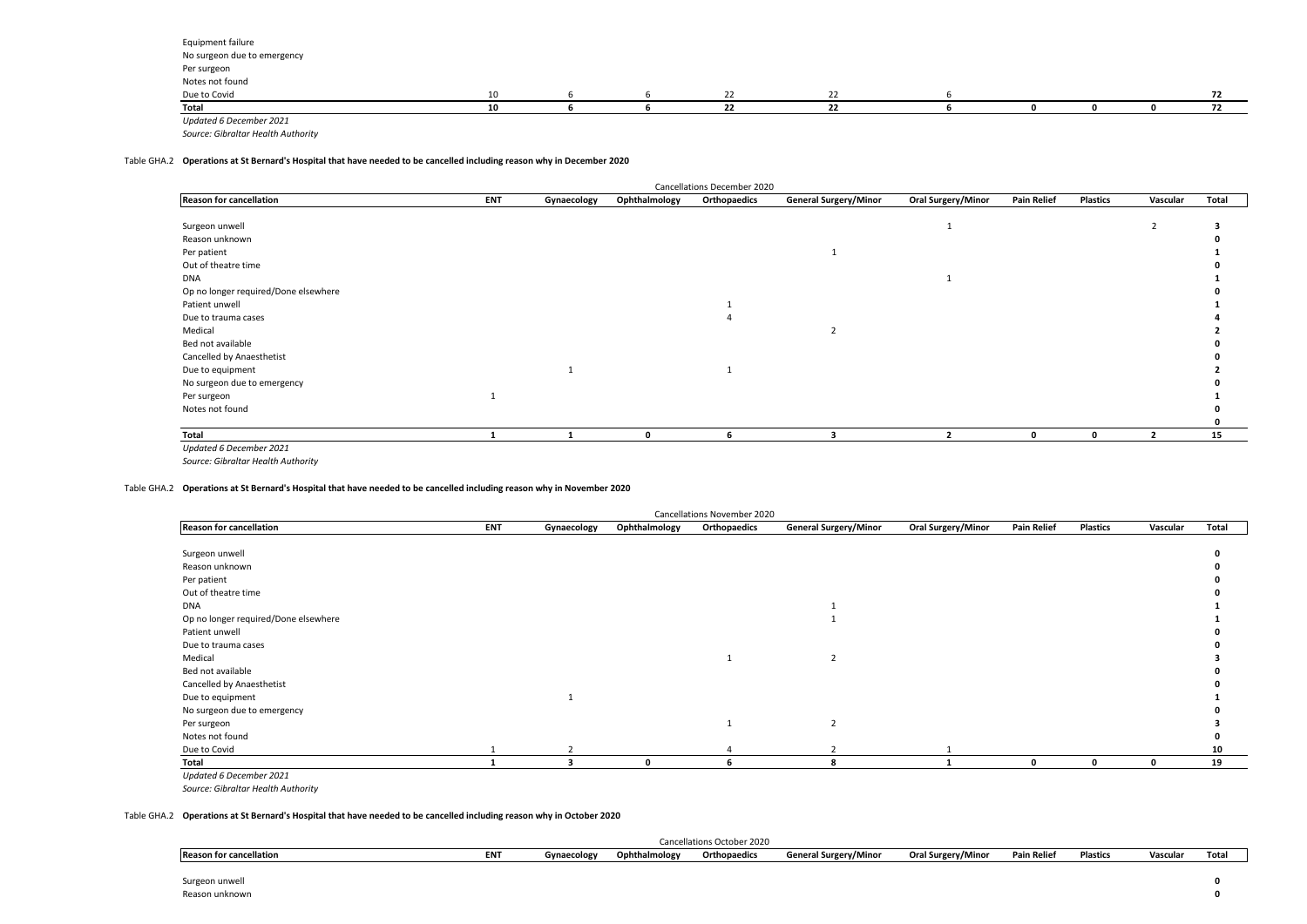| Equipment failure           |    |  |  |  |  |  |
|-----------------------------|----|--|--|--|--|--|
| No surgeon due to emergency |    |  |  |  |  |  |
| Per surgeon                 |    |  |  |  |  |  |
| Notes not found             |    |  |  |  |  |  |
| Due to Covid                | 10 |  |  |  |  |  |
| Total                       | 10 |  |  |  |  |  |
| Updated 6 December 2021     |    |  |  |  |  |  |

## Table GHA.2 **Operations at St Bernard's Hospital that have needed to be cancelled including reason why in December 2020**

|                                      |            |             |               | Cancellations December 2020 |                              |                           |                    |                 |          |       |
|--------------------------------------|------------|-------------|---------------|-----------------------------|------------------------------|---------------------------|--------------------|-----------------|----------|-------|
| <b>Reason for cancellation</b>       | <b>ENT</b> | Gynaecology | Ophthalmology | Orthopaedics                | <b>General Surgery/Minor</b> | <b>Oral Surgery/Minor</b> | <b>Pain Relief</b> | <b>Plastics</b> | Vascular | Total |
|                                      |            |             |               |                             |                              |                           |                    |                 |          |       |
| Surgeon unwell                       |            |             |               |                             |                              |                           |                    |                 |          |       |
| Reason unknown                       |            |             |               |                             |                              |                           |                    |                 |          |       |
| Per patient                          |            |             |               |                             |                              |                           |                    |                 |          |       |
| Out of theatre time                  |            |             |               |                             |                              |                           |                    |                 |          |       |
| DNA                                  |            |             |               |                             |                              |                           |                    |                 |          |       |
| Op no longer required/Done elsewhere |            |             |               |                             |                              |                           |                    |                 |          |       |
| Patient unwell                       |            |             |               |                             |                              |                           |                    |                 |          |       |
| Due to trauma cases                  |            |             |               |                             |                              |                           |                    |                 |          |       |
| Medical                              |            |             |               |                             |                              |                           |                    |                 |          |       |
| Bed not available                    |            |             |               |                             |                              |                           |                    |                 |          |       |
| Cancelled by Anaesthetist            |            |             |               |                             |                              |                           |                    |                 |          |       |
| Due to equipment                     |            |             |               |                             |                              |                           |                    |                 |          |       |
| No surgeon due to emergency          |            |             |               |                             |                              |                           |                    |                 |          |       |
| Per surgeon                          |            |             |               |                             |                              |                           |                    |                 |          |       |
| Notes not found                      |            |             |               |                             |                              |                           |                    |                 |          |       |
|                                      |            |             |               |                             |                              |                           |                    |                 |          |       |
| Total                                |            |             | n             | 6                           |                              |                           | 0                  | $\mathbf 0$     |          | 15    |
| Updated 6 December 2021              |            |             |               |                             |                              |                           |                    |                 |          |       |

*Source: Gibraltar Health Authority*

## Table GHA.2 **Operations at St Bernard's Hospital that have needed to be cancelled including reason why in November 2020**

|                                      |            |             |               | Cancellations November 2020 |                              |                           |                    |                 |          |       |
|--------------------------------------|------------|-------------|---------------|-----------------------------|------------------------------|---------------------------|--------------------|-----------------|----------|-------|
| <b>Reason for cancellation</b>       | <b>ENT</b> | Gynaecology | Ophthalmology | Orthopaedics                | <b>General Surgery/Minor</b> | <b>Oral Surgery/Minor</b> | <b>Pain Relief</b> | <b>Plastics</b> | Vascular | Total |
|                                      |            |             |               |                             |                              |                           |                    |                 |          |       |
| Surgeon unwell                       |            |             |               |                             |                              |                           |                    |                 |          |       |
| Reason unknown                       |            |             |               |                             |                              |                           |                    |                 |          |       |
| Per patient                          |            |             |               |                             |                              |                           |                    |                 |          |       |
| Out of theatre time                  |            |             |               |                             |                              |                           |                    |                 |          |       |
| <b>DNA</b>                           |            |             |               |                             |                              |                           |                    |                 |          |       |
| Op no longer required/Done elsewhere |            |             |               |                             |                              |                           |                    |                 |          |       |
| Patient unwell                       |            |             |               |                             |                              |                           |                    |                 |          |       |
| Due to trauma cases                  |            |             |               |                             |                              |                           |                    |                 |          |       |
| Medical                              |            |             |               |                             |                              |                           |                    |                 |          |       |
| Bed not available                    |            |             |               |                             |                              |                           |                    |                 |          |       |
| Cancelled by Anaesthetist            |            |             |               |                             |                              |                           |                    |                 |          |       |
| Due to equipment                     |            |             |               |                             |                              |                           |                    |                 |          |       |
| No surgeon due to emergency          |            |             |               |                             |                              |                           |                    |                 |          |       |
| Per surgeon                          |            |             |               |                             | $\overline{2}$               |                           |                    |                 |          |       |
| Notes not found                      |            |             |               |                             |                              |                           |                    |                 |          |       |
| Due to Covid                         |            |             |               |                             |                              |                           |                    |                 |          | 10    |
| Total                                |            |             | $\Omega$      | 6                           |                              |                           | 0                  | 0               | 0        | 19    |
| Updated 6 December 2021              |            |             |               |                             |                              |                           |                    |                 |          |       |
|                                      |            |             |               |                             |                              |                           |                    |                 |          |       |

*Source: Gibraltar Health Authority*

#### Table GHA.2 **Operations at St Bernard's Hospital that have needed to be cancelled including reason why in October 2020**

| Cancellations October 2020                                                                                                                                                                    |  |  |  |  |  |  |  |  |  |  |  |
|-----------------------------------------------------------------------------------------------------------------------------------------------------------------------------------------------|--|--|--|--|--|--|--|--|--|--|--|
| <b>ENT</b><br><b>Plastics</b><br>Vascui<br>Pain Relie.<br>General Surgery/Minor<br>Oral Surgery/Minor<br>Ophthalmology<br>Tota<br>↑ for cancellation<br>Orthopaedics<br>Reason<br>Gynaecology |  |  |  |  |  |  |  |  |  |  |  |
|                                                                                                                                                                                               |  |  |  |  |  |  |  |  |  |  |  |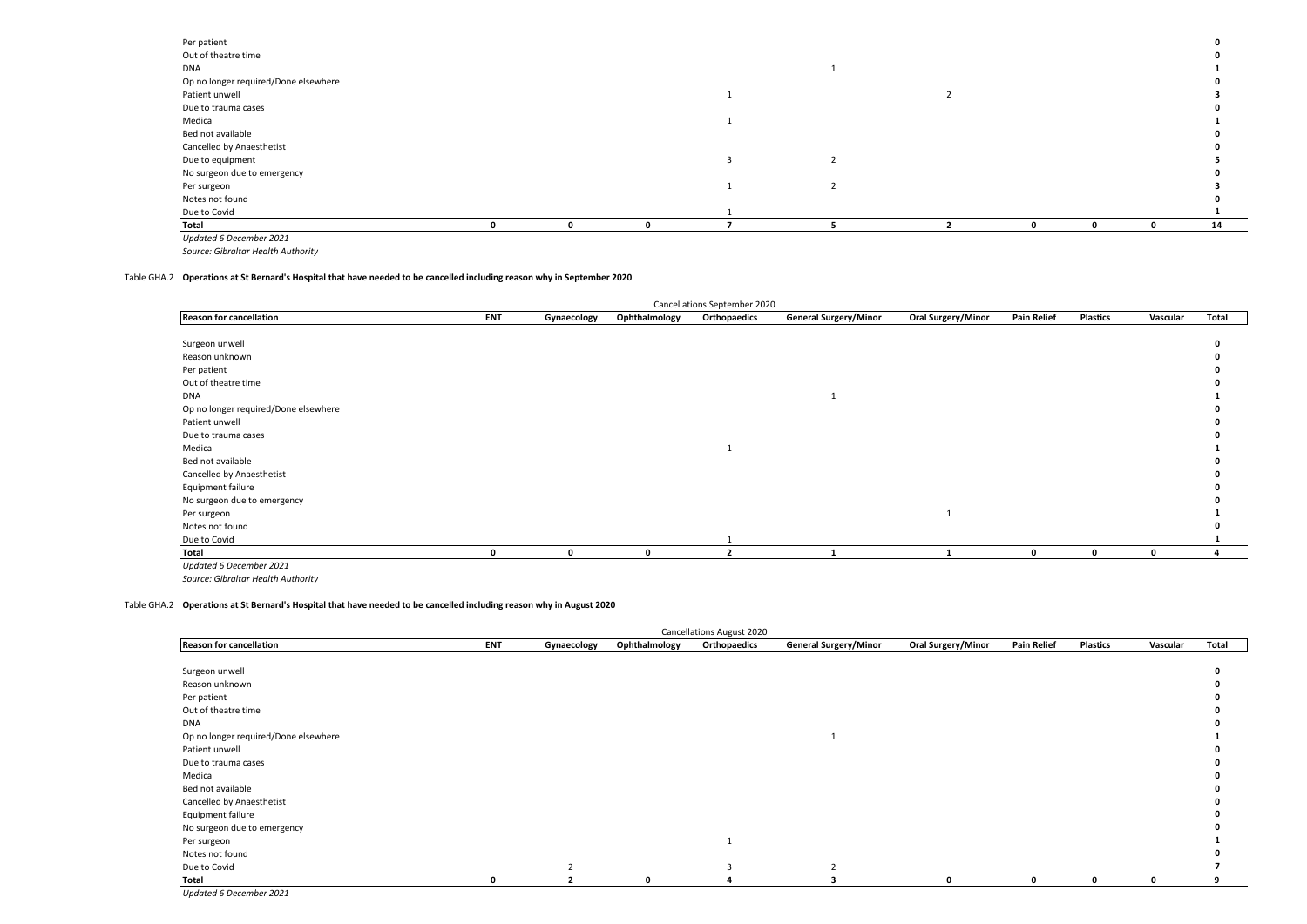| Per patient                          |  |  |  |  |    |
|--------------------------------------|--|--|--|--|----|
| Out of theatre time                  |  |  |  |  |    |
| DNA                                  |  |  |  |  |    |
| Op no longer required/Done elsewhere |  |  |  |  |    |
| Patient unwell                       |  |  |  |  |    |
| Due to trauma cases                  |  |  |  |  |    |
| Medical                              |  |  |  |  |    |
| Bed not available                    |  |  |  |  |    |
| Cancelled by Anaesthetist            |  |  |  |  |    |
| Due to equipment                     |  |  |  |  |    |
| No surgeon due to emergency          |  |  |  |  |    |
| Per surgeon                          |  |  |  |  |    |
| Notes not found                      |  |  |  |  |    |
| Due to Covid                         |  |  |  |  |    |
| Total                                |  |  |  |  | 14 |

*Updated 6 December 2021*

#### Table GHA.2 **Operations at St Bernard's Hospital that have needed to be cancelled including reason why in September 2020**

|                                      |            |             |               | Cancellations September 2020 |                              |                    |                    |                 |          |       |
|--------------------------------------|------------|-------------|---------------|------------------------------|------------------------------|--------------------|--------------------|-----------------|----------|-------|
| <b>Reason for cancellation</b>       | <b>ENT</b> | Gynaecology | Ophthalmology | Orthopaedics                 | <b>General Surgery/Minor</b> | Oral Surgery/Minor | <b>Pain Relief</b> | <b>Plastics</b> | Vascular | Total |
|                                      |            |             |               |                              |                              |                    |                    |                 |          |       |
| Surgeon unwell                       |            |             |               |                              |                              |                    |                    |                 |          |       |
| Reason unknown                       |            |             |               |                              |                              |                    |                    |                 |          |       |
| Per patient                          |            |             |               |                              |                              |                    |                    |                 |          |       |
| Out of theatre time                  |            |             |               |                              |                              |                    |                    |                 |          |       |
| DNA                                  |            |             |               |                              |                              |                    |                    |                 |          |       |
| Op no longer required/Done elsewhere |            |             |               |                              |                              |                    |                    |                 |          |       |
| Patient unwell                       |            |             |               |                              |                              |                    |                    |                 |          |       |
| Due to trauma cases                  |            |             |               |                              |                              |                    |                    |                 |          |       |
| Medical                              |            |             |               |                              |                              |                    |                    |                 |          |       |
| Bed not available                    |            |             |               |                              |                              |                    |                    |                 |          |       |
| Cancelled by Anaesthetist            |            |             |               |                              |                              |                    |                    |                 |          |       |
| Equipment failure                    |            |             |               |                              |                              |                    |                    |                 |          |       |
| No surgeon due to emergency          |            |             |               |                              |                              |                    |                    |                 |          |       |
| Per surgeon                          |            |             |               |                              |                              |                    |                    |                 |          |       |
| Notes not found                      |            |             |               |                              |                              |                    |                    |                 |          |       |
| Due to Covid                         |            |             |               |                              |                              |                    |                    |                 |          |       |
| Total                                | n          |             |               |                              |                              |                    | 0                  | 0               | 0        |       |
| Updated 6 December 2021              |            |             |               |                              |                              |                    |                    |                 |          |       |

*Source: Gibraltar Health Authority*

#### Table GHA.2 **Operations at St Bernard's Hospital that have needed to be cancelled including reason why in August 2020**

|                                      |              |                |               | <b>Cancellations August 2020</b> |                              |                           |                    |                 |             |       |
|--------------------------------------|--------------|----------------|---------------|----------------------------------|------------------------------|---------------------------|--------------------|-----------------|-------------|-------|
| <b>Reason for cancellation</b>       | <b>ENT</b>   | Gynaecology    | Ophthalmology | Orthopaedics                     | <b>General Surgery/Minor</b> | <b>Oral Surgery/Minor</b> | <b>Pain Relief</b> | <b>Plastics</b> | Vascular    | Total |
|                                      |              |                |               |                                  |                              |                           |                    |                 |             |       |
| Surgeon unwell                       |              |                |               |                                  |                              |                           |                    |                 |             |       |
| Reason unknown                       |              |                |               |                                  |                              |                           |                    |                 |             |       |
| Per patient                          |              |                |               |                                  |                              |                           |                    |                 |             |       |
| Out of theatre time                  |              |                |               |                                  |                              |                           |                    |                 |             |       |
| <b>DNA</b>                           |              |                |               |                                  |                              |                           |                    |                 |             |       |
| Op no longer required/Done elsewhere |              |                |               |                                  |                              |                           |                    |                 |             |       |
| Patient unwell                       |              |                |               |                                  |                              |                           |                    |                 |             |       |
| Due to trauma cases                  |              |                |               |                                  |                              |                           |                    |                 |             |       |
| Medical                              |              |                |               |                                  |                              |                           |                    |                 |             |       |
| Bed not available                    |              |                |               |                                  |                              |                           |                    |                 |             |       |
| Cancelled by Anaesthetist            |              |                |               |                                  |                              |                           |                    |                 |             |       |
| Equipment failure                    |              |                |               |                                  |                              |                           |                    |                 |             |       |
| No surgeon due to emergency          |              |                |               |                                  |                              |                           |                    |                 |             |       |
| Per surgeon                          |              |                |               |                                  |                              |                           |                    |                 |             |       |
| Notes not found                      |              |                |               |                                  |                              |                           |                    |                 |             |       |
| Due to Covid                         |              |                |               |                                  |                              |                           |                    |                 |             |       |
| Total                                | $\mathbf{0}$ | $\overline{2}$ | $\mathbf{0}$  |                                  | 3                            | $\mathbf{0}$              | 0                  | $\mathbf 0$     | $\mathbf 0$ | 9     |
| Updated 6 December 2021              |              |                |               |                                  |                              |                           |                    |                 |             |       |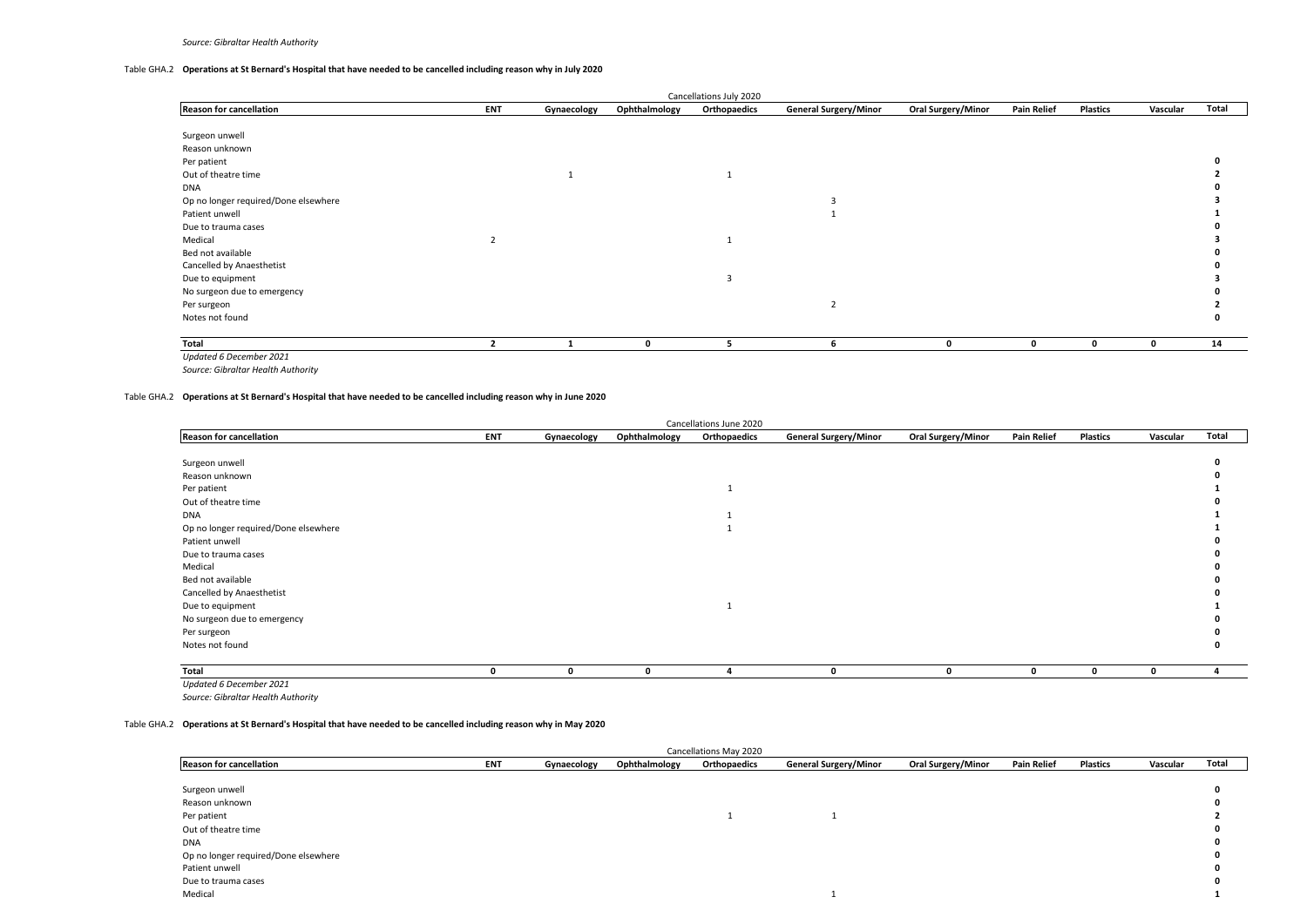## Table GHA.2 **Operations at St Bernard's Hospital that have needed to be cancelled including reason why in July 2020**

|                                      |            |             |               | Cancellations July 2020 |                              |                           |                    |                 |          |       |
|--------------------------------------|------------|-------------|---------------|-------------------------|------------------------------|---------------------------|--------------------|-----------------|----------|-------|
| <b>Reason for cancellation</b>       | <b>ENT</b> | Gynaecology | Ophthalmology | Orthopaedics            | <b>General Surgery/Minor</b> | <b>Oral Surgery/Minor</b> | <b>Pain Relief</b> | <b>Plastics</b> | Vascular | Total |
|                                      |            |             |               |                         |                              |                           |                    |                 |          |       |
| Surgeon unwell                       |            |             |               |                         |                              |                           |                    |                 |          |       |
| Reason unknown                       |            |             |               |                         |                              |                           |                    |                 |          |       |
| Per patient                          |            |             |               |                         |                              |                           |                    |                 |          |       |
| Out of theatre time                  |            |             |               |                         |                              |                           |                    |                 |          |       |
| <b>DNA</b>                           |            |             |               |                         |                              |                           |                    |                 |          |       |
| Op no longer required/Done elsewhere |            |             |               |                         |                              |                           |                    |                 |          |       |
| Patient unwell                       |            |             |               |                         |                              |                           |                    |                 |          |       |
| Due to trauma cases                  |            |             |               |                         |                              |                           |                    |                 |          |       |
| Medical                              |            |             |               |                         |                              |                           |                    |                 |          |       |
| Bed not available                    |            |             |               |                         |                              |                           |                    |                 |          |       |
| Cancelled by Anaesthetist            |            |             |               |                         |                              |                           |                    |                 |          |       |
| Due to equipment                     |            |             |               |                         |                              |                           |                    |                 |          |       |
| No surgeon due to emergency          |            |             |               |                         |                              |                           |                    |                 |          |       |
| Per surgeon                          |            |             |               |                         | $\overline{2}$               |                           |                    |                 |          |       |
| Notes not found                      |            |             |               |                         |                              |                           |                    |                 |          |       |
| Total                                |            |             | 0             | 5                       | 6                            | 0                         | 0                  | 0               | 0        | 14    |
| Updated 6 December 2021              |            |             |               |                         |                              |                           |                    |                 |          |       |

*Source: Gibraltar Health Authority*

#### Table GHA.2 **Operations at St Bernard's Hospital that have needed to be cancelled including reason why in June 2020**

|                                      |            |             |               | Cancellations June 2020 |                              |                           |                    |                 |             |                |
|--------------------------------------|------------|-------------|---------------|-------------------------|------------------------------|---------------------------|--------------------|-----------------|-------------|----------------|
| <b>Reason for cancellation</b>       | <b>ENT</b> | Gynaecology | Ophthalmology | Orthopaedics            | <b>General Surgery/Minor</b> | <b>Oral Surgery/Minor</b> | <b>Pain Relief</b> | <b>Plastics</b> | Vascular    | Total          |
|                                      |            |             |               |                         |                              |                           |                    |                 |             |                |
| Surgeon unwell                       |            |             |               |                         |                              |                           |                    |                 |             |                |
| Reason unknown                       |            |             |               |                         |                              |                           |                    |                 |             |                |
| Per patient                          |            |             |               |                         |                              |                           |                    |                 |             |                |
| Out of theatre time                  |            |             |               |                         |                              |                           |                    |                 |             |                |
| <b>DNA</b>                           |            |             |               |                         |                              |                           |                    |                 |             |                |
| Op no longer required/Done elsewhere |            |             |               |                         |                              |                           |                    |                 |             |                |
| Patient unwell                       |            |             |               |                         |                              |                           |                    |                 |             |                |
| Due to trauma cases                  |            |             |               |                         |                              |                           |                    |                 |             |                |
| Medical                              |            |             |               |                         |                              |                           |                    |                 |             |                |
| Bed not available                    |            |             |               |                         |                              |                           |                    |                 |             |                |
| Cancelled by Anaesthetist            |            |             |               |                         |                              |                           |                    |                 |             |                |
| Due to equipment                     |            |             |               | 1                       |                              |                           |                    |                 |             |                |
| No surgeon due to emergency          |            |             |               |                         |                              |                           |                    |                 |             |                |
| Per surgeon                          |            |             |               |                         |                              |                           |                    |                 |             |                |
| Notes not found                      |            |             |               |                         |                              |                           |                    |                 |             |                |
|                                      |            |             |               |                         |                              |                           |                    |                 |             |                |
| Total                                | 0          | 0           | 0             | 4                       | $\mathbf{0}$                 | 0                         | 0                  | $\mathbf 0$     | $\mathbf 0$ | $\overline{a}$ |
| Updated 6 December 2021              |            |             |               |                         |                              |                           |                    |                 |             |                |

*Source: Gibraltar Health Authority*

#### Table GHA.2 **Operations at St Bernard's Hospital that have needed to be cancelled including reason why in May 2020**

|                                      |     |             |               | Cancellations May 2020 |                              |                           |                    |                 |          |       |
|--------------------------------------|-----|-------------|---------------|------------------------|------------------------------|---------------------------|--------------------|-----------------|----------|-------|
| <b>Reason for cancellation</b>       | ENT | Gynaecology | Ophthalmology | Orthopaedics           | <b>General Surgery/Minor</b> | <b>Oral Surgery/Minor</b> | <b>Pain Relief</b> | <b>Plastics</b> | Vascular | Total |
|                                      |     |             |               |                        |                              |                           |                    |                 |          |       |
| Surgeon unwell                       |     |             |               |                        |                              |                           |                    |                 |          |       |
| Reason unknown                       |     |             |               |                        |                              |                           |                    |                 |          |       |
| Per patient                          |     |             |               |                        |                              |                           |                    |                 |          |       |
| Out of theatre time                  |     |             |               |                        |                              |                           |                    |                 |          |       |
| <b>DNA</b>                           |     |             |               |                        |                              |                           |                    |                 |          |       |
| Op no longer required/Done elsewhere |     |             |               |                        |                              |                           |                    |                 |          |       |
| Patient unwell                       |     |             |               |                        |                              |                           |                    |                 |          |       |
| Due to trauma cases                  |     |             |               |                        |                              |                           |                    |                 |          |       |
| Medical                              |     |             |               |                        |                              |                           |                    |                 |          |       |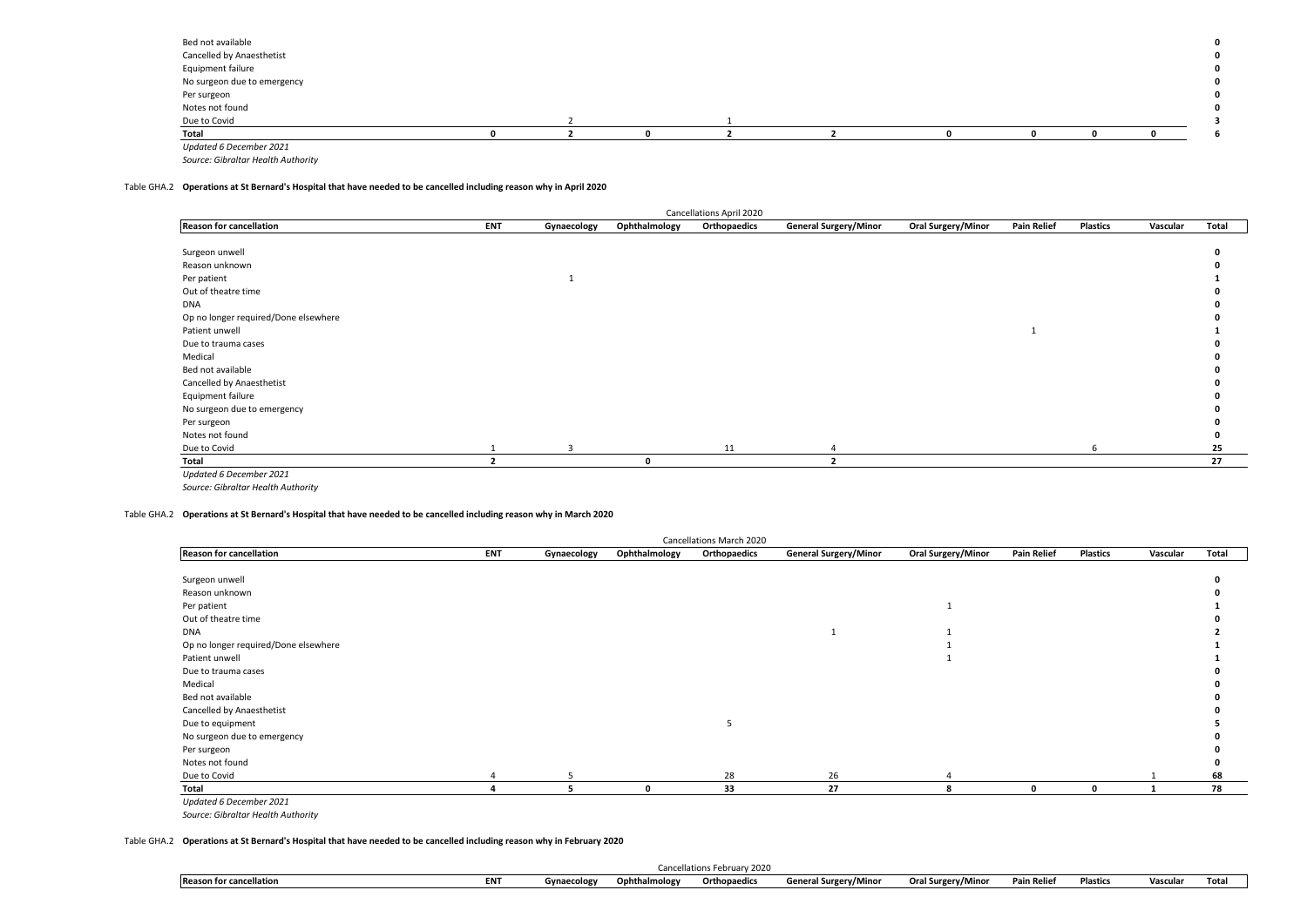| Bed not available           |  |  |  |  | $\mathbf 0$ |
|-----------------------------|--|--|--|--|-------------|
| Cancelled by Anaesthetist   |  |  |  |  | $\mathbf 0$ |
| Equipment failure           |  |  |  |  | $\mathbf 0$ |
| No surgeon due to emergency |  |  |  |  | $\mathbf 0$ |
| Per surgeon                 |  |  |  |  | $\mathbf 0$ |
| Notes not found             |  |  |  |  | $\mathbf 0$ |
| Due to Covid                |  |  |  |  |             |
| Total                       |  |  |  |  |             |
| Updated 6 December 2021     |  |  |  |  |             |

## Table GHA.2 **Operations at St Bernard's Hospital that have needed to be cancelled including reason why in April 2020**

|                                      |            |             |               | Cancellations April 2020 |                              |                           |                    |                 |          |       |
|--------------------------------------|------------|-------------|---------------|--------------------------|------------------------------|---------------------------|--------------------|-----------------|----------|-------|
| <b>Reason for cancellation</b>       | <b>ENT</b> | Gynaecology | Ophthalmology | Orthopaedics             | <b>General Surgery/Minor</b> | <b>Oral Surgery/Minor</b> | <b>Pain Relief</b> | <b>Plastics</b> | Vascular | Total |
|                                      |            |             |               |                          |                              |                           |                    |                 |          |       |
| Surgeon unwell                       |            |             |               |                          |                              |                           |                    |                 |          |       |
| Reason unknown                       |            |             |               |                          |                              |                           |                    |                 |          |       |
| Per patient                          |            |             |               |                          |                              |                           |                    |                 |          |       |
| Out of theatre time                  |            |             |               |                          |                              |                           |                    |                 |          |       |
| <b>DNA</b>                           |            |             |               |                          |                              |                           |                    |                 |          |       |
| Op no longer required/Done elsewhere |            |             |               |                          |                              |                           |                    |                 |          |       |
| Patient unwell                       |            |             |               |                          |                              |                           |                    |                 |          |       |
| Due to trauma cases                  |            |             |               |                          |                              |                           |                    |                 |          |       |
| Medical                              |            |             |               |                          |                              |                           |                    |                 |          |       |
| Bed not available                    |            |             |               |                          |                              |                           |                    |                 |          |       |
| Cancelled by Anaesthetist            |            |             |               |                          |                              |                           |                    |                 |          |       |
| Equipment failure                    |            |             |               |                          |                              |                           |                    |                 |          |       |
| No surgeon due to emergency          |            |             |               |                          |                              |                           |                    |                 |          |       |
| Per surgeon                          |            |             |               |                          |                              |                           |                    |                 |          |       |
| Notes not found                      |            |             |               |                          |                              |                           |                    |                 |          |       |
| Due to Covid                         |            |             |               | 11                       |                              |                           |                    |                 |          | 25    |
| Total                                |            |             | $\Omega$      |                          |                              |                           |                    |                 |          | 27    |
| Updated 6 December 2021              |            |             |               |                          |                              |                           |                    |                 |          |       |

*Source: Gibraltar Health Authority*

## Table GHA.2 **Operations at St Bernard's Hospital that have needed to be cancelled including reason why in March 2020**

| <b>Cancellations March 2020</b>      |            |             |               |              |                              |                    |                    |                 |          |       |  |  |
|--------------------------------------|------------|-------------|---------------|--------------|------------------------------|--------------------|--------------------|-----------------|----------|-------|--|--|
| <b>Reason for cancellation</b>       | <b>ENT</b> | Gynaecology | Ophthalmology | Orthopaedics | <b>General Surgery/Minor</b> | Oral Surgery/Minor | <b>Pain Relief</b> | <b>Plastics</b> | Vascular | Total |  |  |
|                                      |            |             |               |              |                              |                    |                    |                 |          |       |  |  |
| Surgeon unwell                       |            |             |               |              |                              |                    |                    |                 |          |       |  |  |
| Reason unknown                       |            |             |               |              |                              |                    |                    |                 |          |       |  |  |
| Per patient                          |            |             |               |              |                              |                    |                    |                 |          |       |  |  |
| Out of theatre time                  |            |             |               |              |                              |                    |                    |                 |          |       |  |  |
| DNA                                  |            |             |               |              |                              |                    |                    |                 |          |       |  |  |
| Op no longer required/Done elsewhere |            |             |               |              |                              |                    |                    |                 |          |       |  |  |
| Patient unwell                       |            |             |               |              |                              |                    |                    |                 |          |       |  |  |
| Due to trauma cases                  |            |             |               |              |                              |                    |                    |                 |          |       |  |  |
| Medical                              |            |             |               |              |                              |                    |                    |                 |          |       |  |  |
| Bed not available                    |            |             |               |              |                              |                    |                    |                 |          |       |  |  |
| Cancelled by Anaesthetist            |            |             |               |              |                              |                    |                    |                 |          |       |  |  |
| Due to equipment                     |            |             |               |              |                              |                    |                    |                 |          |       |  |  |
| No surgeon due to emergency          |            |             |               |              |                              |                    |                    |                 |          |       |  |  |
| Per surgeon                          |            |             |               |              |                              |                    |                    |                 |          |       |  |  |
| Notes not found                      |            |             |               |              |                              |                    |                    |                 |          |       |  |  |
| Due to Covid                         |            |             |               | 28           | 26                           |                    |                    |                 |          | 68    |  |  |
| Total                                |            | 5           | $\mathbf{0}$  | 33           | 27                           | 8                  | $\mathbf{0}$       | $\mathbf 0$     |          | 78    |  |  |
| Updated 6 December 2021              |            |             |               |              |                              |                    |                    |                 |          |       |  |  |

*Source: Gibraltar Health Authority*

#### Table GHA.2 **Operations at St Bernard's Hospital that have needed to be cancelled including reason why in February 2020**

|                                |                    |                    |               | Cancellations February 2020 |                              |                    |             |                 |        |      |
|--------------------------------|--------------------|--------------------|---------------|-----------------------------|------------------------------|--------------------|-------------|-----------------|--------|------|
| <b>Reason for cancellation</b> | <b>CAIT</b><br>ENI | <b>Gynaecology</b> | Ophthalmology | Orthopaedics                | <b>General Surgery/Minor</b> | Oral Surgery/Minor | ain Relief' | <b>Plastics</b> | Vascu. | Tota |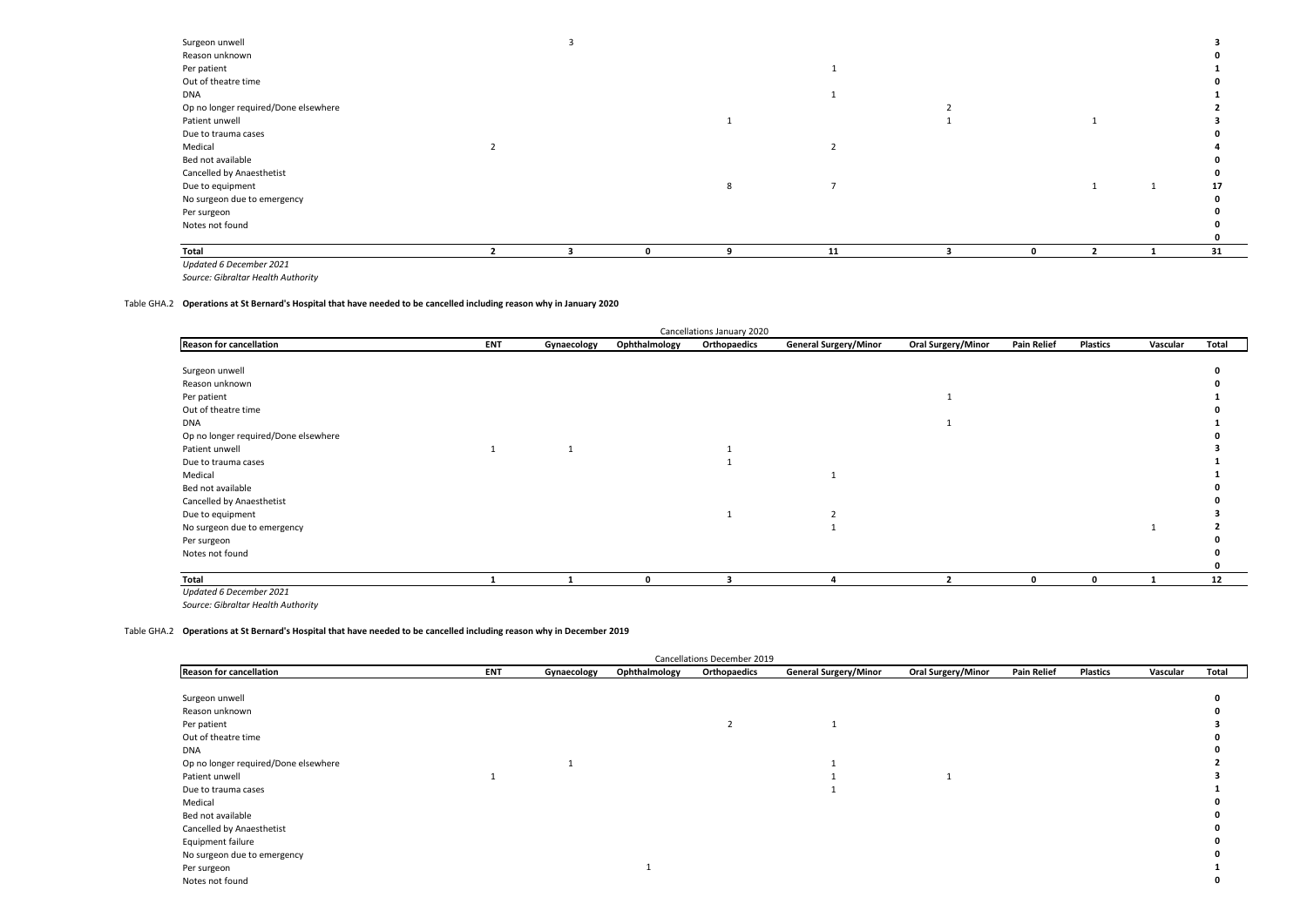| Surgeon unwell                       |  |  |    |              |  |    |
|--------------------------------------|--|--|----|--------------|--|----|
| Reason unknown                       |  |  |    |              |  |    |
| Per patient                          |  |  |    |              |  |    |
| Out of theatre time                  |  |  |    |              |  |    |
| DNA                                  |  |  |    |              |  |    |
| Op no longer required/Done elsewhere |  |  |    |              |  |    |
| Patient unwell                       |  |  |    |              |  |    |
| Due to trauma cases                  |  |  |    |              |  |    |
| Medical                              |  |  |    |              |  |    |
| Bed not available                    |  |  |    |              |  |    |
| Cancelled by Anaesthetist            |  |  |    |              |  |    |
| Due to equipment                     |  |  |    |              |  |    |
| No surgeon due to emergency          |  |  |    |              |  |    |
| Per surgeon                          |  |  |    |              |  |    |
| Notes not found                      |  |  |    |              |  |    |
|                                      |  |  |    |              |  |    |
| Total                                |  |  | 11 | $\mathbf{0}$ |  | 31 |
| Updated 6 December 2021              |  |  |    |              |  |    |

#### Table GHA.2 **Operations at St Bernard's Hospital that have needed to be cancelled including reason why in January 2020**

|                                      |            |             |               | Cancellations January 2020 |                              |                           |                    |                 |          |       |
|--------------------------------------|------------|-------------|---------------|----------------------------|------------------------------|---------------------------|--------------------|-----------------|----------|-------|
| <b>Reason for cancellation</b>       | <b>ENT</b> | Gynaecology | Ophthalmology | Orthopaedics               | <b>General Surgery/Minor</b> | <b>Oral Surgery/Minor</b> | <b>Pain Relief</b> | <b>Plastics</b> | Vascular | Total |
|                                      |            |             |               |                            |                              |                           |                    |                 |          |       |
| Surgeon unwell                       |            |             |               |                            |                              |                           |                    |                 |          |       |
| Reason unknown                       |            |             |               |                            |                              |                           |                    |                 |          |       |
| Per patient                          |            |             |               |                            |                              |                           |                    |                 |          |       |
| Out of theatre time                  |            |             |               |                            |                              |                           |                    |                 |          |       |
| <b>DNA</b>                           |            |             |               |                            |                              |                           |                    |                 |          |       |
| Op no longer required/Done elsewhere |            |             |               |                            |                              |                           |                    |                 |          |       |
| Patient unwell                       |            |             |               |                            |                              |                           |                    |                 |          |       |
| Due to trauma cases                  |            |             |               |                            |                              |                           |                    |                 |          |       |
| Medical                              |            |             |               |                            |                              |                           |                    |                 |          |       |
| Bed not available                    |            |             |               |                            |                              |                           |                    |                 |          |       |
| Cancelled by Anaesthetist            |            |             |               |                            |                              |                           |                    |                 |          |       |
| Due to equipment                     |            |             |               |                            |                              |                           |                    |                 |          |       |
| No surgeon due to emergency          |            |             |               |                            |                              |                           |                    |                 |          |       |
| Per surgeon                          |            |             |               |                            |                              |                           |                    |                 |          |       |
| Notes not found                      |            |             |               |                            |                              |                           |                    |                 |          |       |
|                                      |            |             |               |                            |                              |                           |                    |                 |          |       |
| Total                                |            |             | $\Omega$      |                            |                              |                           | $\Omega$           | $\Omega$        |          | 12    |

*Source: Gibraltar Health Authority Updated 6 December 2021*

#### Table GHA.2 **Operations at St Bernard's Hospital that have needed to be cancelled including reason why in December 2019**

| Cancellations December 2019          |     |             |               |              |                              |                    |                    |          |          |       |  |
|--------------------------------------|-----|-------------|---------------|--------------|------------------------------|--------------------|--------------------|----------|----------|-------|--|
| <b>Reason for cancellation</b>       | ENT | Gynaecology | Ophthalmology | Orthopaedics | <b>General Surgery/Minor</b> | Oral Surgery/Minor | <b>Pain Relief</b> | Plastics | Vascular | Total |  |
|                                      |     |             |               |              |                              |                    |                    |          |          |       |  |
| Surgeon unwell                       |     |             |               |              |                              |                    |                    |          |          |       |  |
| Reason unknown                       |     |             |               |              |                              |                    |                    |          |          |       |  |
| Per patient                          |     |             |               |              |                              |                    |                    |          |          |       |  |
| Out of theatre time                  |     |             |               |              |                              |                    |                    |          |          |       |  |
| <b>DNA</b>                           |     |             |               |              |                              |                    |                    |          |          |       |  |
| Op no longer required/Done elsewhere |     |             |               |              |                              |                    |                    |          |          |       |  |
| Patient unwell                       |     |             |               |              |                              |                    |                    |          |          |       |  |
| Due to trauma cases                  |     |             |               |              |                              |                    |                    |          |          |       |  |
| Medical                              |     |             |               |              |                              |                    |                    |          |          |       |  |
| Bed not available                    |     |             |               |              |                              |                    |                    |          |          |       |  |
| Cancelled by Anaesthetist            |     |             |               |              |                              |                    |                    |          |          |       |  |
| Equipment failure                    |     |             |               |              |                              |                    |                    |          |          |       |  |
| No surgeon due to emergency          |     |             |               |              |                              |                    |                    |          |          |       |  |
| Per surgeon                          |     |             |               |              |                              |                    |                    |          |          |       |  |
| Notes not found                      |     |             |               |              |                              |                    |                    |          |          |       |  |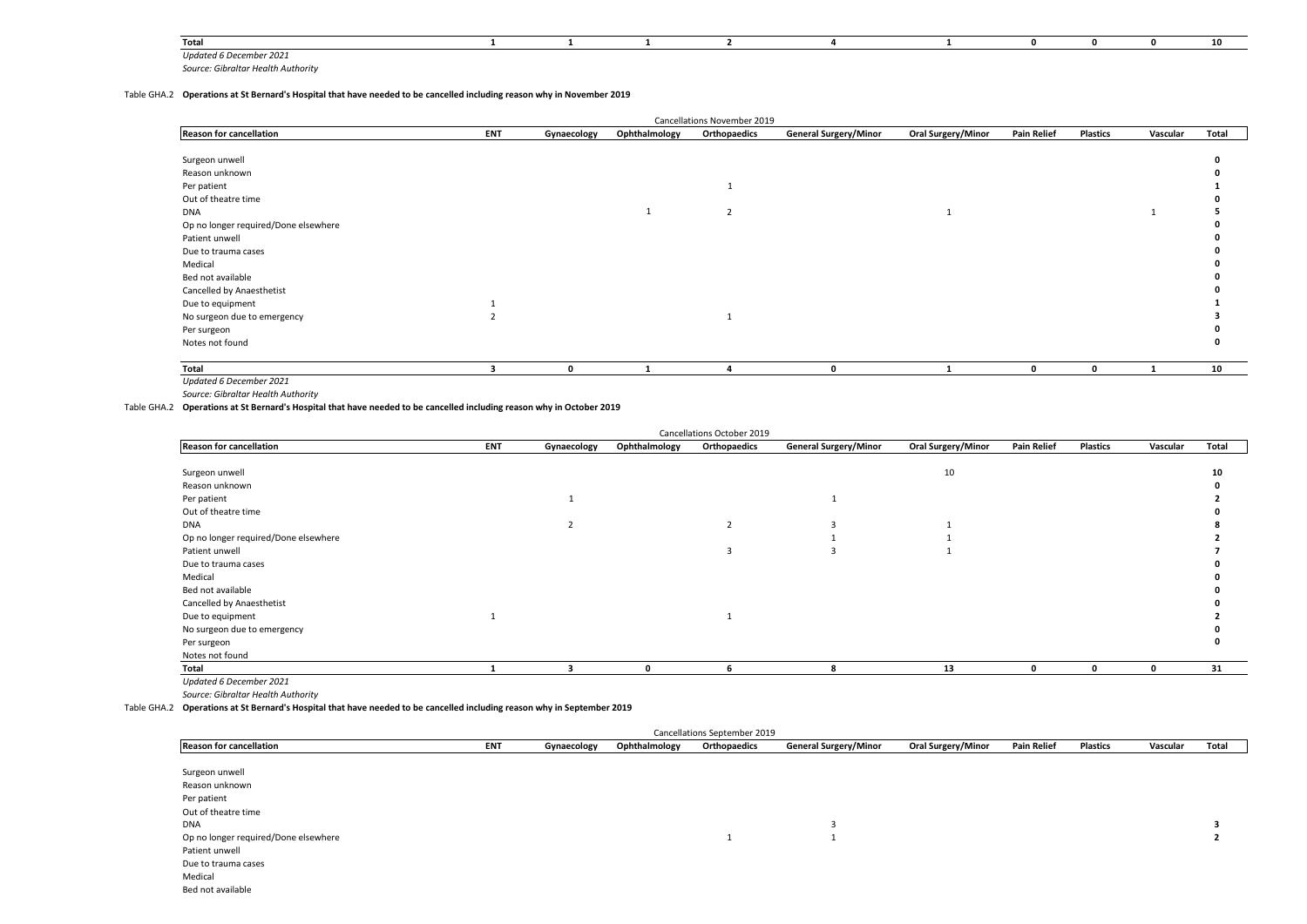| Total                                                                                                                                                 |  |  |  |  |  |
|-------------------------------------------------------------------------------------------------------------------------------------------------------|--|--|--|--|--|
| <b>Undated 6 December</b><br>1 ZUZ<br>the contract of the contract of the contract of the contract of the contract of the contract of the contract of |  |  |  |  |  |

## Table GHA.2 **Operations at St Bernard's Hospital that have needed to be cancelled including reason why in November 2019**

|                                      |            |             |               | Cancellations November 2019 |                              |                    |                    |                 |          |       |
|--------------------------------------|------------|-------------|---------------|-----------------------------|------------------------------|--------------------|--------------------|-----------------|----------|-------|
| <b>Reason for cancellation</b>       | <b>ENT</b> | Gynaecology | Ophthalmology | Orthopaedics                | <b>General Surgery/Minor</b> | Oral Surgery/Minor | <b>Pain Relief</b> | <b>Plastics</b> | Vascular | Total |
|                                      |            |             |               |                             |                              |                    |                    |                 |          |       |
| Surgeon unwell                       |            |             |               |                             |                              |                    |                    |                 |          |       |
| Reason unknown                       |            |             |               |                             |                              |                    |                    |                 |          |       |
| Per patient                          |            |             |               | 1                           |                              |                    |                    |                 |          |       |
| Out of theatre time                  |            |             |               |                             |                              |                    |                    |                 |          |       |
| <b>DNA</b>                           |            |             |               | $\overline{2}$              |                              |                    |                    |                 |          |       |
| Op no longer required/Done elsewhere |            |             |               |                             |                              |                    |                    |                 |          |       |
| Patient unwell                       |            |             |               |                             |                              |                    |                    |                 |          |       |
| Due to trauma cases                  |            |             |               |                             |                              |                    |                    |                 |          |       |
| Medical                              |            |             |               |                             |                              |                    |                    |                 |          |       |
| Bed not available                    |            |             |               |                             |                              |                    |                    |                 |          |       |
| Cancelled by Anaesthetist            |            |             |               |                             |                              |                    |                    |                 |          |       |
| Due to equipment                     |            |             |               |                             |                              |                    |                    |                 |          |       |
| No surgeon due to emergency          |            |             |               |                             |                              |                    |                    |                 |          |       |
| Per surgeon                          |            |             |               |                             |                              |                    |                    |                 |          |       |
| Notes not found                      |            |             |               |                             |                              |                    |                    |                 |          |       |
|                                      |            |             |               |                             |                              |                    |                    |                 |          |       |
| Total                                |            | 0           |               | $\Delta$                    | $\Omega$                     |                    | $\Omega$           | $\mathbf 0$     | 1        | 10    |
| Updated 6 December 2021              |            |             |               |                             |                              |                    |                    |                 |          |       |

*Source: Gibraltar Health Authority*

Table GHA.2 **Operations at St Bernard's Hospital that have needed to be cancelled including reason why in October 2019**

|                                      |            |             |               | Cancellations October 2019 |                              |                    |                    |                 |          |       |
|--------------------------------------|------------|-------------|---------------|----------------------------|------------------------------|--------------------|--------------------|-----------------|----------|-------|
| <b>Reason for cancellation</b>       | <b>ENT</b> | Gynaecology | Ophthalmology | Orthopaedics               | <b>General Surgery/Minor</b> | Oral Surgery/Minor | <b>Pain Relief</b> | <b>Plastics</b> | Vascular | Total |
|                                      |            |             |               |                            |                              |                    |                    |                 |          |       |
| Surgeon unwell                       |            |             |               |                            |                              | 10                 |                    |                 |          | 10    |
| Reason unknown                       |            |             |               |                            |                              |                    |                    |                 |          |       |
| Per patient                          |            |             |               |                            |                              |                    |                    |                 |          |       |
| Out of theatre time                  |            |             |               |                            |                              |                    |                    |                 |          |       |
| <b>DNA</b>                           |            |             |               | $\overline{2}$             |                              |                    |                    |                 |          |       |
| Op no longer required/Done elsewhere |            |             |               |                            |                              |                    |                    |                 |          |       |
| Patient unwell                       |            |             |               |                            |                              |                    |                    |                 |          |       |
| Due to trauma cases                  |            |             |               |                            |                              |                    |                    |                 |          |       |
| Medical                              |            |             |               |                            |                              |                    |                    |                 |          |       |
| Bed not available                    |            |             |               |                            |                              |                    |                    |                 |          |       |
| Cancelled by Anaesthetist            |            |             |               |                            |                              |                    |                    |                 |          |       |
| Due to equipment                     |            |             |               |                            |                              |                    |                    |                 |          |       |
| No surgeon due to emergency          |            |             |               |                            |                              |                    |                    |                 |          |       |
| Per surgeon                          |            |             |               |                            |                              |                    |                    |                 |          |       |
| Notes not found                      |            |             |               |                            |                              |                    |                    |                 |          |       |
| Total                                |            |             | n             |                            | ጸ                            | 13                 |                    | O               |          | 31    |
| 11.1.1.1.1.0.0.1.1.1.0.0.0.1         |            |             |               |                            |                              |                    |                    |                 |          |       |

*Updated 6 December 2021*

*Source: Gibraltar Health Authority*

Table GHA.2 **Operations at St Bernard's Hospital that have needed to be cancelled including reason why in September 2019**

| Cancellations September 2019         |            |             |               |              |                              |                           |                    |                 |          |       |  |  |
|--------------------------------------|------------|-------------|---------------|--------------|------------------------------|---------------------------|--------------------|-----------------|----------|-------|--|--|
| <b>Reason for cancellation</b>       | <b>ENT</b> | Gynaecology | Ophthalmology | Orthopaedics | <b>General Surgery/Minor</b> | <b>Oral Surgery/Minor</b> | <b>Pain Relief</b> | <b>Plastics</b> | Vascular | Total |  |  |
|                                      |            |             |               |              |                              |                           |                    |                 |          |       |  |  |
| Surgeon unwell                       |            |             |               |              |                              |                           |                    |                 |          |       |  |  |
| Reason unknown                       |            |             |               |              |                              |                           |                    |                 |          |       |  |  |
| Per patient                          |            |             |               |              |                              |                           |                    |                 |          |       |  |  |
| Out of theatre time                  |            |             |               |              |                              |                           |                    |                 |          |       |  |  |
| <b>DNA</b>                           |            |             |               |              |                              |                           |                    |                 |          |       |  |  |
| Op no longer required/Done elsewhere |            |             |               |              |                              |                           |                    |                 |          |       |  |  |
| Patient unwell                       |            |             |               |              |                              |                           |                    |                 |          |       |  |  |
| Due to trauma cases                  |            |             |               |              |                              |                           |                    |                 |          |       |  |  |
| Medical                              |            |             |               |              |                              |                           |                    |                 |          |       |  |  |
| Bed not available                    |            |             |               |              |                              |                           |                    |                 |          |       |  |  |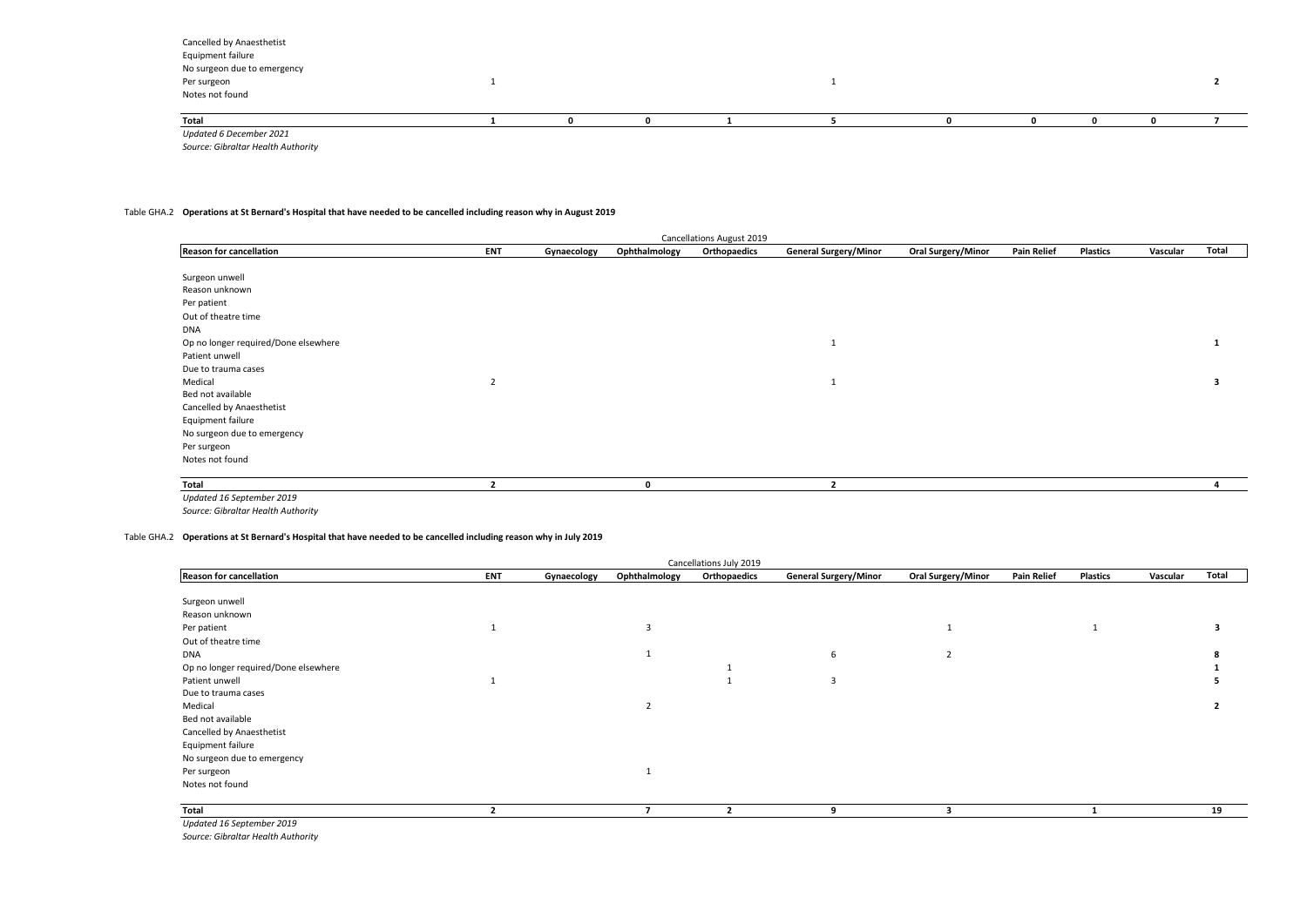| Total                       |  |  |  |  |  |
|-----------------------------|--|--|--|--|--|
| Notes not found             |  |  |  |  |  |
| Per surgeon                 |  |  |  |  |  |
| No surgeon due to emergency |  |  |  |  |  |
| Equipment failure           |  |  |  |  |  |
|                             |  |  |  |  |  |
| Cancelled by Anaesthetist   |  |  |  |  |  |

*Source: Gibraltar Health Authority Updated 6 December 2021*

#### Table GHA.2 **Operations at St Bernard's Hospital that have needed to be cancelled including reason why in August 2019**

| <b>Cancellations August 2019</b>     |                |             |               |              |                              |                           |                    |                 |          |       |  |  |
|--------------------------------------|----------------|-------------|---------------|--------------|------------------------------|---------------------------|--------------------|-----------------|----------|-------|--|--|
| <b>Reason for cancellation</b>       | <b>ENT</b>     | Gynaecology | Ophthalmology | Orthopaedics | <b>General Surgery/Minor</b> | <b>Oral Surgery/Minor</b> | <b>Pain Relief</b> | <b>Plastics</b> | Vascular | Total |  |  |
|                                      |                |             |               |              |                              |                           |                    |                 |          |       |  |  |
| Surgeon unwell                       |                |             |               |              |                              |                           |                    |                 |          |       |  |  |
| Reason unknown                       |                |             |               |              |                              |                           |                    |                 |          |       |  |  |
| Per patient                          |                |             |               |              |                              |                           |                    |                 |          |       |  |  |
| Out of theatre time                  |                |             |               |              |                              |                           |                    |                 |          |       |  |  |
| <b>DNA</b>                           |                |             |               |              |                              |                           |                    |                 |          |       |  |  |
| Op no longer required/Done elsewhere |                |             |               |              | л.                           |                           |                    |                 |          |       |  |  |
| Patient unwell                       |                |             |               |              |                              |                           |                    |                 |          |       |  |  |
| Due to trauma cases                  |                |             |               |              |                              |                           |                    |                 |          |       |  |  |
| Medical                              | $\overline{2}$ |             |               |              | л.                           |                           |                    |                 |          | 3     |  |  |
| Bed not available                    |                |             |               |              |                              |                           |                    |                 |          |       |  |  |
| Cancelled by Anaesthetist            |                |             |               |              |                              |                           |                    |                 |          |       |  |  |
| Equipment failure                    |                |             |               |              |                              |                           |                    |                 |          |       |  |  |
| No surgeon due to emergency          |                |             |               |              |                              |                           |                    |                 |          |       |  |  |
| Per surgeon                          |                |             |               |              |                              |                           |                    |                 |          |       |  |  |
| Notes not found                      |                |             |               |              |                              |                           |                    |                 |          |       |  |  |
| Total                                |                |             | 0             |              |                              |                           |                    |                 |          |       |  |  |
| Updated 16 September 2019            |                |             |               |              |                              |                           |                    |                 |          |       |  |  |

*Source: Gibraltar Health Authority*

Table GHA.2 **Operations at St Bernard's Hospital that have needed to be cancelled including reason why in July 2019**

| Cancellations July 2019              |            |             |                |              |                              |                           |                    |                 |          |       |  |
|--------------------------------------|------------|-------------|----------------|--------------|------------------------------|---------------------------|--------------------|-----------------|----------|-------|--|
| <b>Reason for cancellation</b>       | <b>ENT</b> | Gynaecology | Ophthalmology  | Orthopaedics | <b>General Surgery/Minor</b> | <b>Oral Surgery/Minor</b> | <b>Pain Relief</b> | <b>Plastics</b> | Vascular | Total |  |
|                                      |            |             |                |              |                              |                           |                    |                 |          |       |  |
| Surgeon unwell                       |            |             |                |              |                              |                           |                    |                 |          |       |  |
| Reason unknown                       |            |             |                |              |                              |                           |                    |                 |          |       |  |
| Per patient                          |            |             | $\overline{3}$ |              |                              |                           |                    |                 |          |       |  |
| Out of theatre time                  |            |             |                |              |                              |                           |                    |                 |          |       |  |
| <b>DNA</b>                           |            |             |                |              | 6                            |                           |                    |                 |          |       |  |
| Op no longer required/Done elsewhere |            |             |                |              |                              |                           |                    |                 |          |       |  |
| Patient unwell                       |            |             |                |              | 3                            |                           |                    |                 |          |       |  |
| Due to trauma cases                  |            |             |                |              |                              |                           |                    |                 |          |       |  |
| Medical                              |            |             | $\overline{2}$ |              |                              |                           |                    |                 |          |       |  |
| Bed not available                    |            |             |                |              |                              |                           |                    |                 |          |       |  |
| Cancelled by Anaesthetist            |            |             |                |              |                              |                           |                    |                 |          |       |  |
| Equipment failure                    |            |             |                |              |                              |                           |                    |                 |          |       |  |
| No surgeon due to emergency          |            |             |                |              |                              |                           |                    |                 |          |       |  |
| Per surgeon                          |            |             |                |              |                              |                           |                    |                 |          |       |  |
| Notes not found                      |            |             |                |              |                              |                           |                    |                 |          |       |  |
| Total                                |            |             |                |              | $\alpha$                     |                           |                    |                 |          | 19    |  |
| Updated 16 September 2019            |            |             |                |              |                              |                           |                    |                 |          |       |  |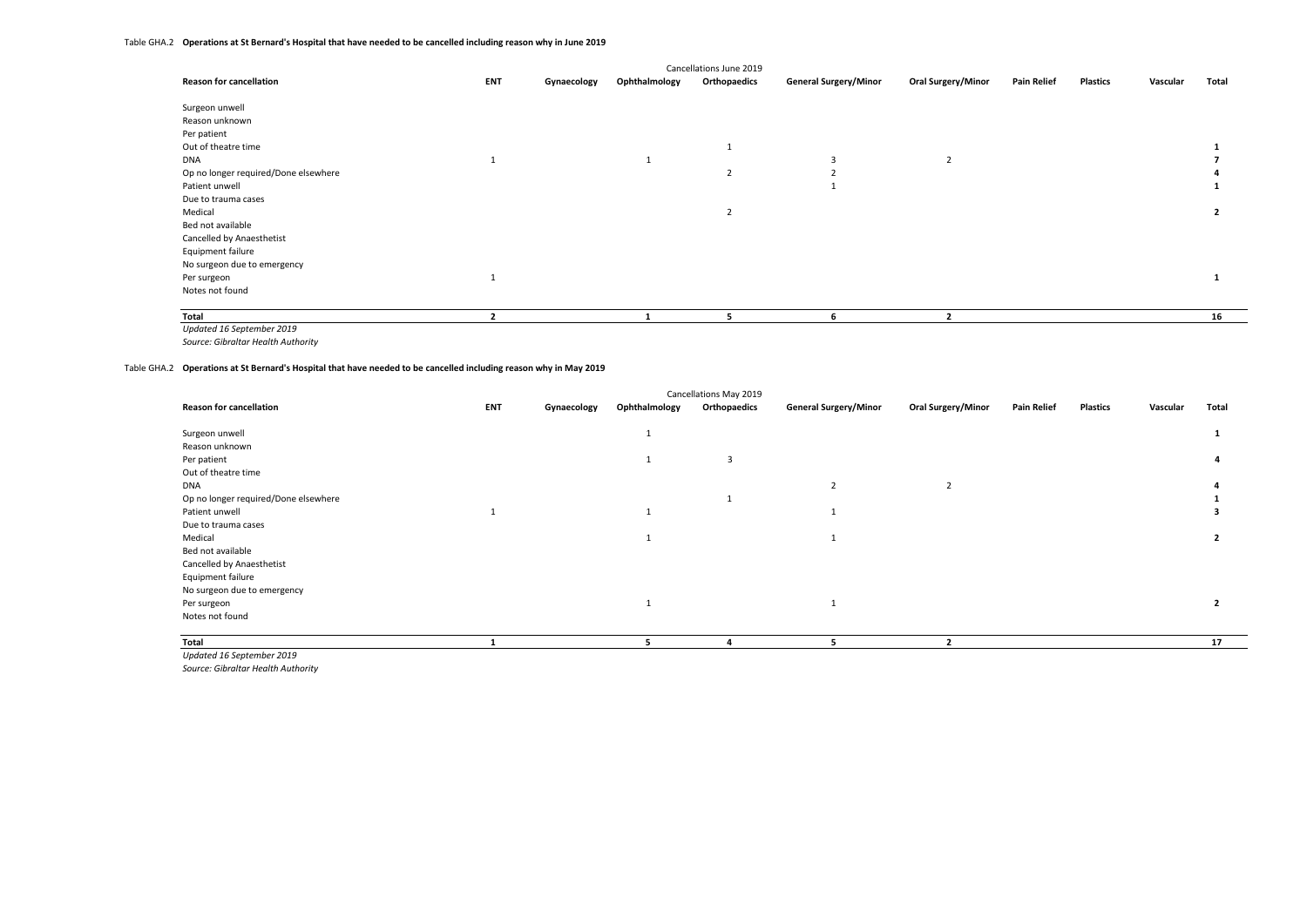## Table GHA.2 **Operations at St Bernard's Hospital that have needed to be cancelled including reason why in June 2019**

| Cancellations June 2019              |            |             |               |                |                              |                           |                    |                 |          |       |  |
|--------------------------------------|------------|-------------|---------------|----------------|------------------------------|---------------------------|--------------------|-----------------|----------|-------|--|
| <b>Reason for cancellation</b>       | <b>ENT</b> | Gynaecology | Ophthalmology | Orthopaedics   | <b>General Surgery/Minor</b> | <b>Oral Surgery/Minor</b> | <b>Pain Relief</b> | <b>Plastics</b> | Vascular | Total |  |
| Surgeon unwell                       |            |             |               |                |                              |                           |                    |                 |          |       |  |
| Reason unknown                       |            |             |               |                |                              |                           |                    |                 |          |       |  |
| Per patient                          |            |             |               |                |                              |                           |                    |                 |          |       |  |
| Out of theatre time                  |            |             |               |                |                              |                           |                    |                 |          |       |  |
| DNA                                  |            |             |               |                |                              | $\overline{2}$            |                    |                 |          |       |  |
| Op no longer required/Done elsewhere |            |             |               | $\overline{2}$ |                              |                           |                    |                 |          |       |  |
| Patient unwell                       |            |             |               |                |                              |                           |                    |                 |          |       |  |
| Due to trauma cases                  |            |             |               |                |                              |                           |                    |                 |          |       |  |
| Medical                              |            |             |               |                |                              |                           |                    |                 |          |       |  |
| Bed not available                    |            |             |               |                |                              |                           |                    |                 |          |       |  |
| Cancelled by Anaesthetist            |            |             |               |                |                              |                           |                    |                 |          |       |  |
| Equipment failure                    |            |             |               |                |                              |                           |                    |                 |          |       |  |
| No surgeon due to emergency          |            |             |               |                |                              |                           |                    |                 |          |       |  |
| Per surgeon                          |            |             |               |                |                              |                           |                    |                 |          |       |  |
| Notes not found                      |            |             |               |                |                              |                           |                    |                 |          |       |  |
| Total                                |            |             |               |                |                              |                           |                    |                 |          | 16    |  |

*Updated 16 September 2019*

*Source: Gibraltar Health Authority*

#### Table GHA.2 **Operations at St Bernard's Hospital that have needed to be cancelled including reason why in May 2019**

|            |             |               |                                        |                              |                           |                    |                 | Total    |
|------------|-------------|---------------|----------------------------------------|------------------------------|---------------------------|--------------------|-----------------|----------|
|            |             |               |                                        |                              |                           |                    |                 |          |
|            |             |               |                                        |                              |                           |                    |                 |          |
|            |             | 3             |                                        |                              |                           |                    |                 |          |
|            |             |               |                                        |                              |                           |                    |                 |          |
|            |             |               | $\overline{2}$                         | 2                            |                           |                    |                 |          |
|            |             |               |                                        |                              |                           |                    |                 |          |
|            |             |               |                                        |                              |                           |                    |                 |          |
|            |             |               |                                        |                              |                           |                    |                 |          |
|            |             |               |                                        |                              |                           |                    |                 |          |
|            |             |               |                                        |                              |                           |                    |                 |          |
|            |             |               |                                        |                              |                           |                    |                 |          |
|            |             |               |                                        |                              |                           |                    |                 |          |
|            |             |               |                                        |                              |                           |                    |                 |          |
|            |             |               |                                        |                              |                           |                    |                 |          |
|            |             |               |                                        |                              |                           |                    |                 |          |
|            |             |               |                                        |                              |                           |                    |                 | 17       |
| <b>ENT</b> | Gynaecology | Ophthalmology | Cancellations May 2019<br>Orthopaedics | <b>General Surgery/Minor</b> | <b>Oral Surgery/Minor</b> | <b>Pain Relief</b> | <b>Plastics</b> | Vascular |

*Updated 16 September 2019*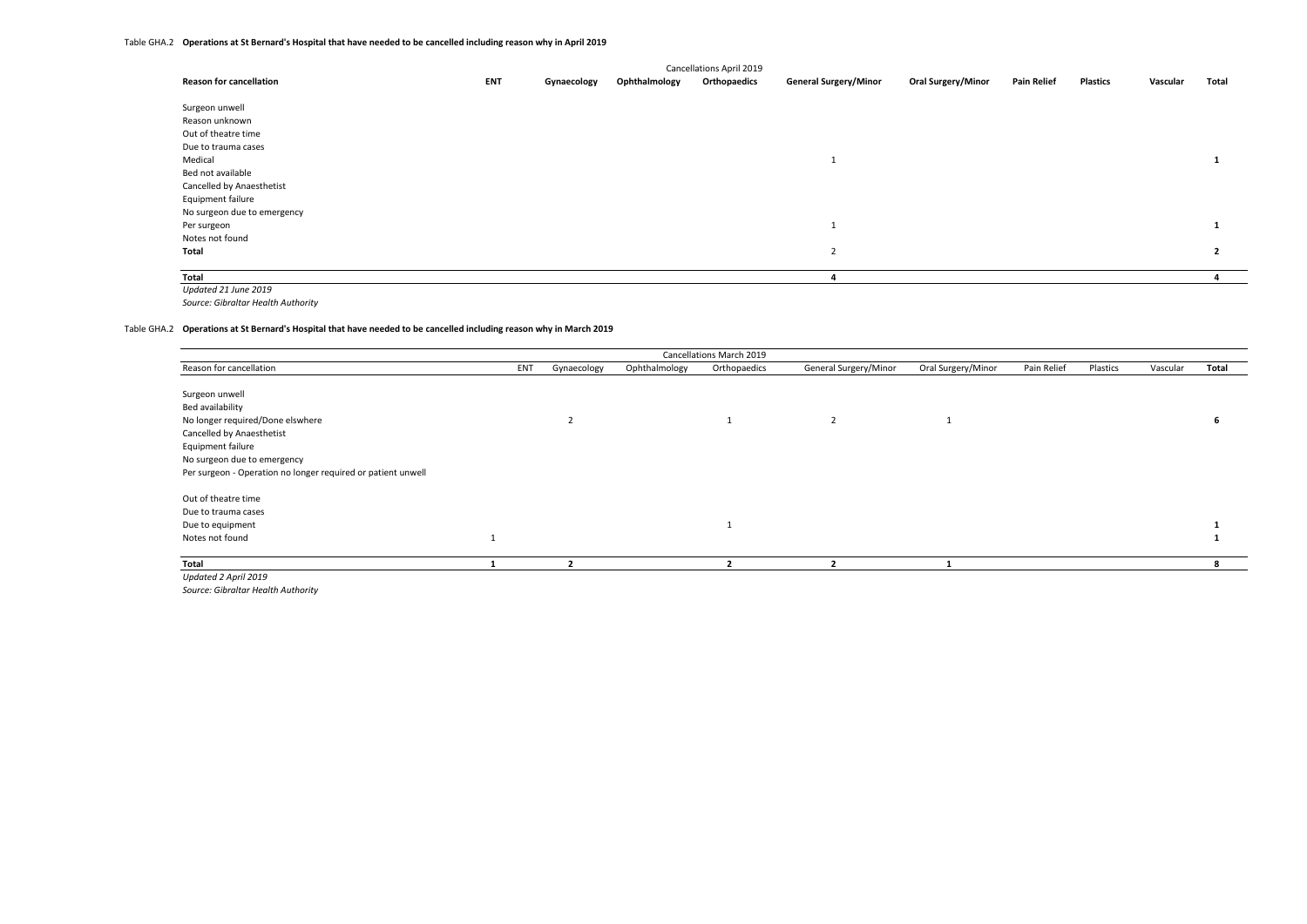| Cancellations April 2019       |            |             |               |              |                              |                           |                    |                 |          |                |  |
|--------------------------------|------------|-------------|---------------|--------------|------------------------------|---------------------------|--------------------|-----------------|----------|----------------|--|
| <b>Reason for cancellation</b> | <b>ENT</b> | Gynaecology | Ophthalmology | Orthopaedics | <b>General Surgery/Minor</b> | <b>Oral Surgery/Minor</b> | <b>Pain Relief</b> | <b>Plastics</b> | Vascular | Total          |  |
| Surgeon unwell                 |            |             |               |              |                              |                           |                    |                 |          |                |  |
| Reason unknown                 |            |             |               |              |                              |                           |                    |                 |          |                |  |
| Out of theatre time            |            |             |               |              |                              |                           |                    |                 |          |                |  |
| Due to trauma cases            |            |             |               |              |                              |                           |                    |                 |          |                |  |
| Medical                        |            |             |               |              | ш                            |                           |                    |                 |          |                |  |
| Bed not available              |            |             |               |              |                              |                           |                    |                 |          |                |  |
| Cancelled by Anaesthetist      |            |             |               |              |                              |                           |                    |                 |          |                |  |
| Equipment failure              |            |             |               |              |                              |                           |                    |                 |          |                |  |
| No surgeon due to emergency    |            |             |               |              |                              |                           |                    |                 |          |                |  |
| Per surgeon                    |            |             |               |              | ш                            |                           |                    |                 |          |                |  |
| Notes not found                |            |             |               |              |                              |                           |                    |                 |          |                |  |
| Total                          |            |             |               |              | $\overline{2}$               |                           |                    |                 |          | $\overline{2}$ |  |
| Total                          |            |             |               |              |                              |                           |                    |                 |          |                |  |

*Updated 21 June 2019*

*Source: Gibraltar Health Authority*

## Table GHA.2 **Operations at St Bernard's Hospital that have needed to be cancelled including reason why in March 2019**

| Cancellations March 2019                                     |     |             |               |              |                       |                    |             |          |          |       |  |  |
|--------------------------------------------------------------|-----|-------------|---------------|--------------|-----------------------|--------------------|-------------|----------|----------|-------|--|--|
| Reason for cancellation                                      | ENT | Gynaecology | Ophthalmology | Orthopaedics | General Surgery/Minor | Oral Surgery/Minor | Pain Relief | Plastics | Vascular | Total |  |  |
| Surgeon unwell                                               |     |             |               |              |                       |                    |             |          |          |       |  |  |
| Bed availability                                             |     |             |               |              |                       |                    |             |          |          |       |  |  |
| No longer required/Done elswhere                             |     |             |               |              | $\overline{2}$        |                    |             |          |          |       |  |  |
| Cancelled by Anaesthetist                                    |     |             |               |              |                       |                    |             |          |          |       |  |  |
| Equipment failure                                            |     |             |               |              |                       |                    |             |          |          |       |  |  |
| No surgeon due to emergency                                  |     |             |               |              |                       |                    |             |          |          |       |  |  |
| Per surgeon - Operation no longer required or patient unwell |     |             |               |              |                       |                    |             |          |          |       |  |  |
| Out of theatre time                                          |     |             |               |              |                       |                    |             |          |          |       |  |  |
| Due to trauma cases                                          |     |             |               |              |                       |                    |             |          |          |       |  |  |
| Due to equipment                                             |     |             |               |              |                       |                    |             |          |          |       |  |  |
| Notes not found                                              |     |             |               |              |                       |                    |             |          |          |       |  |  |
| Total                                                        |     |             |               |              |                       |                    |             |          |          |       |  |  |
| Updated 2 April 2019                                         |     |             |               |              |                       |                    |             |          |          |       |  |  |